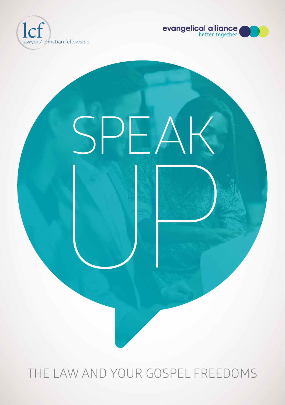





THE LAW AND YOUR GOSPEL FREEDOMS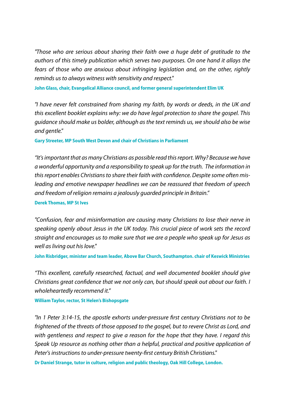*"Those who are serious about sharing their faith owe a huge debt of gratitude to the authors of this timely publication which serves two purposes. On one hand it allays the fears of those who are anxious about infringing legislation and, on the other, rightly reminds us to always witness with sensitivity and respect."*

**John Glass, chair, Evangelical Alliance council, and former general superintendent Elim UK**

*"I have never felt constrained from sharing my faith, by words or deeds, in the UK and this excellent booklet explains why: we do have legal protection to share the gospel. This guidance should make us bolder, although as the text reminds us, we should also be wise and gentle."*

**Gary Streeter, MP South West Devon and chair of Christians in Parliament**

*"It's important that as many Christians as possible read this report. Why? Because we have a wonderful opportunity and a responsibility to speak up for the truth. The information in this report enables Christians to share their faith with confidence. Despite some often misleading and emotive newspaper headlines we can be reassured that freedom of speech and freedom of religion remains a jealously guarded principle in Britain."*

**Derek Thomas, MP St Ives**

*"Confusion, fear and misinformation are causing many Christians to lose their nerve in speaking openly about Jesus in the UK today. This crucial piece of work sets the record straight and encourages us to make sure that we are a people who speak up for Jesus as well as living out his love."* 

**John Risbridger, minister and team leader, Above Bar Church, Southampton. chair of Keswick Ministries** 

*"This excellent, carefully researched, factual, and well documented booklet should give Christians great confidence that we not only can, but should speak out about our faith. I wholeheartedly recommend it."*

**William Taylor, rector, St Helen's Bishopsgate** 

*"In 1 Peter 3:14-15, the apostle exhorts under-pressure first century Christians not to be frightened of the threats of those opposed to the gospel, but to revere Christ as Lord, and with gentleness and respect to give a reason for the hope that they have. I regard this Speak Up resource as nothing other than a helpful, practical and positive application of Peter's instructions to under-pressure twenty-first century British Christians."* 

**Dr Daniel Strange, tutor in culture, religion and public theology, Oak Hill College, London.**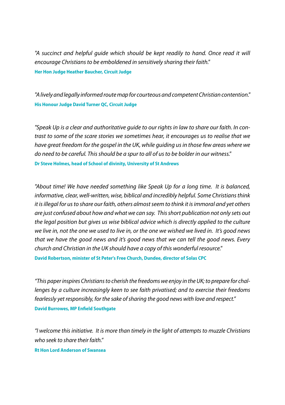*"A succinct and helpful guide which should be kept readily to hand. Once read it will encourage Christians to be emboldened in sensitively sharing their faith."* **Her Hon Judge Heather Baucher, Circuit Judge**

*"A lively and legally informed route map for courteous and competent Christian contention."* **His Honour Judge David Turner QC, Circuit Judge**

*"Speak Up is a clear and authoritative guide to our rights in law to share our faith. In contrast to some of the scare stories we sometimes hear, it encourages us to realise that we have great freedom for the gospel in the UK, while guiding us in those few areas where we do need to be careful. This should be a spur to all of us to be bolder in our witness."* **Dr Steve Holmes, head of School of divinity, University of St Andrews**

*"About time! We have needed something like Speak Up for a long time. It is balanced, informative, clear, well-written, wise, biblical and incredibly helpful. Some Christians think it is illegal for us to share our faith, others almost seem to think it is immoral and yet others are just confused about how and what we can say. This short publication not only sets out the legal position but gives us wise biblical advice which is directly applied to the culture we live in, not the one we used to live in, or the one we wished we lived in. It's good news that we have the good news and it's good news that we can tell the good news. Every church and Christian in the UK should have a copy of this wonderful resource."* 

**David Robertson, minister of St Peter's Free Church, Dundee, director of Solas CPC**

*"This paper inspires Christians to cherish the freedoms we enjoy in the UK; to prepare for challenges by a culture increasingly keen to see faith privatised; and to exercise their freedoms fearlessly yet responsibly, for the sake of sharing the good news with love and respect."* **David Burrowes, MP Enfield Southgate** 

*"I welcome this initiative. It is more than timely in the light of attempts to muzzle Christians who seek to share their faith."*

**Rt Hon Lord Anderson of Swansea**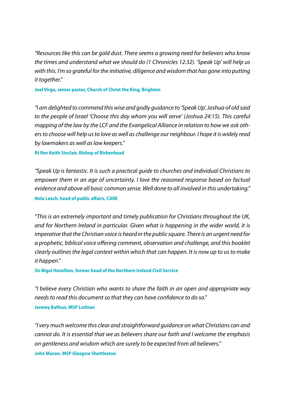*"Resources like this can be gold dust. There seems a growing need for believers who know the times and understand what we should do (1 Chronicles 12:32). 'Speak Up' will help us with this. I'm so grateful for the initiative, diligence and wisdom that has gone into putting it together."*

**Joel Virgo, senior pastor, Church of Christ the King, Brighton**

*"I am delighted to commend this wise and godly guidance to 'Speak Up'. Joshua of old said to the people of Israel 'Choose this day whom you will serve' (Joshua 24:15). This careful mapping of the law by the LCF and the Evangelical Alliance in relation to how we ask others to choose will help us to love as well as challenge our neighbour. I hope it is widely read by lawmakers as well as law keepers."*

**Rt Rev Keith Sinclair, Bishop of Birkenhead**

*"Speak Up is fantastic. It is such a practical guide to churches and individual Christians to empower them in an age of uncertainty. I love the reasoned response based on factual evidence and above all basic common sense. Well done to all involved in this undertaking."* **Nola Leach, head of public affairs, CARE**

*"This is an extremely important and timely publication for Christians throughout the UK, and for Northern Ireland in particular. Given what is happening in the wider world, it is imperative that the Christian voice is heard in the public square. There is an urgent need for a prophetic, biblical voice offering comment, observation and challenge, and this booklet clearly outlines the legal context within which that can happen. It is now up to us to make it happen."*

**Sir Nigel Hamilton, former head of the Northern Ireland Civil Service** 

*"I believe every Christian who wants to share the faith in an open and appropriate way needs to read this document so that they can have confidence to do so."* **Jeremy Balfour, MSP Lothian**

*"I very much welcome this clear and straightforward guidance on what Christians can and cannot do. It is essential that we as believers share our faith and I welcome the emphasis on gentleness and wisdom which are surely to be expected from all believers."* **John Mason, MSP Glasgow Shettleston**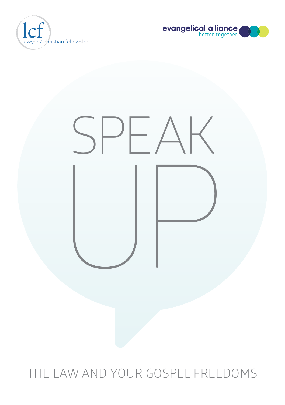





## THE LAW AND YOUR GOSPEL FREEDOMS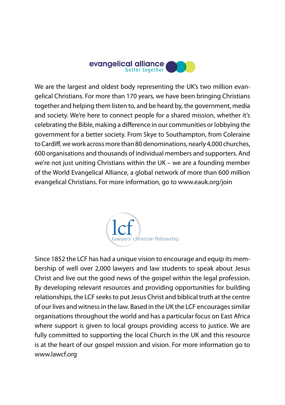

We are the largest and oldest body representing the UK's two million evangelical Christians. For more than 170 years, we have been bringing Christians together and helping them listen to, and be heard by, the government, media and society. We're here to connect people for a shared mission, whether it's celebrating the Bible, making a difference in our communities or lobbying the government for a better society. From Skye to Southampton, from Coleraine to Cardiff, we work across more than 80 denominations, nearly 4,000 churches, 600 organisations and thousands of individual members and supporters. And we're not just uniting Christians within the UK – we are a founding member of the World Evangelical Alliance, a global network of more than 600 million evangelical Christians. For more information, go to [www.eauk.org/join](http://www.eauk.org/join)



Since 1852 the LCF has had a unique vision to encourage and equip its membership of well over 2,000 lawyers and law students to speak about Jesus Christ and live out the good news of the gospel within the legal profession. By developing relevant resources and providing opportunities for building relationships, the LCF seeks to put Jesus Christ and biblical truth at the centre of our lives and witness in the law. Based in the UK the LCF encourages similar organisations throughout the world and has a particular focus on East Africa where support is given to local groups providing access to justice. We are fully committed to supporting the local Church in the UK and this resource is at the heart of our gospel mission and vision. For more information go to www.lawcf.org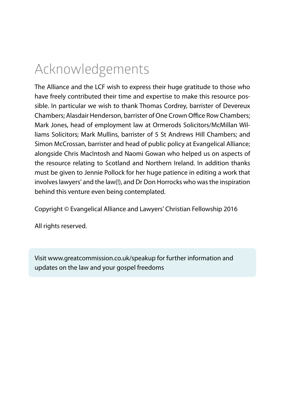## Acknowledgements

The Alliance and the LCF wish to express their huge gratitude to those who have freely contributed their time and expertise to make this resource possible. In particular we wish to thank Thomas Cordrey, barrister of Devereux Chambers; Alasdair Henderson, barrister of One Crown Office Row Chambers; Mark Jones, head of employment law at Ormerods Solicitors/McMillan Williams Solicitors; Mark Mullins, barrister of 5 St Andrews Hill Chambers; and Simon McCrossan, barrister and head of public policy at Evangelical Alliance; alongside Chris MacIntosh and Naomi Gowan who helped us on aspects of the resource relating to Scotland and Northern Ireland. In addition thanks must be given to Jennie Pollock for her huge patience in editing a work that involves lawyers' and the law(!), and Dr Don Horrocks who was the inspiration behind this venture even being contemplated.

Copyright © Evangelical Alliance and Lawyers' Christian Fellowship 2016

All rights reserved.

Visit [www.greatcommission.co.uk/speakup](http://www.greatcommission.co.uk/speakup) for further information and updates on the law and your gospel freedoms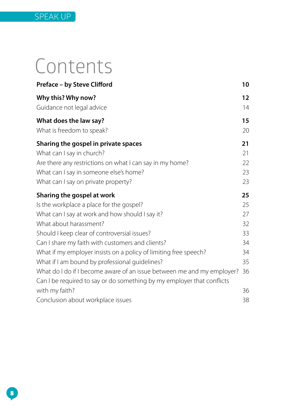# Contents

| Preface - by Steve Clifford                                            | 10                |
|------------------------------------------------------------------------|-------------------|
| Why this? Why now?                                                     | $12 \overline{ }$ |
| Guidance not legal advice                                              | 14                |
| What does the law say?                                                 | 15                |
| What is freedom to speak?                                              | 20                |
| Sharing the gospel in private spaces                                   | 21                |
| What can I say in church?                                              | 21                |
| Are there any restrictions on what I can say in my home?               | 22                |
| What can I say in someone else's home?                                 | 23                |
| What can I say on private property?                                    | 23                |
| Sharing the gospel at work                                             | 25                |
| Is the workplace a place for the gospel?                               | 25                |
| What can I say at work and how should I say it?                        | 27                |
| What about harassment?                                                 | 32                |
| Should I keep clear of controversial issues?                           | 33                |
| Can I share my faith with customers and clients?                       | 34                |
| What if my employer insists on a policy of limiting free speech?       | 34                |
| What if I am bound by professional guidelines?                         | 35                |
| What do I do if I become aware of an issue between me and my employer? | 36                |
| Can I be required to say or do something by my employer that conflicts |                   |
| with my faith?                                                         | 36                |
| Conclusion about workplace issues                                      | 38                |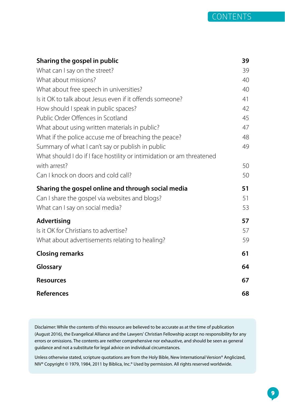| Sharing the gospel in public                                          | 39 |
|-----------------------------------------------------------------------|----|
| What can I say on the street?                                         | 39 |
| What about missions?                                                  | 40 |
| What about free speech in universities?                               | 40 |
| Is it OK to talk about Jesus even if it offends someone?              | 41 |
| How should I speak in public spaces?                                  | 42 |
| Public Order Offences in Scotland                                     | 45 |
| What about using written materials in public?                         | 47 |
| What if the police accuse me of breaching the peace?                  | 48 |
| Summary of what I can't say or publish in public                      | 49 |
| What should I do if I face hostility or intimidation or am threatened |    |
| with arrest?                                                          | 50 |
| Can I knock on doors and cold call?                                   | 50 |
| Sharing the gospel online and through social media                    | 51 |
| Can I share the gospel via websites and blogs?                        | 51 |
| What can I say on social media?                                       | 53 |
| Advertising                                                           | 57 |
| Is it OK for Christians to advertise?                                 | 57 |
| What about advertisements relating to healing?                        | 59 |
| <b>Closing remarks</b>                                                | 61 |
| Glossary                                                              | 64 |
| <b>Resources</b>                                                      | 67 |
| <b>References</b>                                                     | 68 |

Disclaimer: While the contents of this resource are believed to be accurate as at the time of publication (August 2016), the Evangelical Alliance and the Lawyers' Christian Fellowship accept no responsibility for any errors or omissions. The contents are neither comprehensive nor exhaustive, and should be seen as general guidance and not a substitute for legal advice on individual circumstances.

Unless otherwise stated, scripture quotations are from the Holy Bible, New International Version® Anglicized, NIV® Copyright © 1979, 1984, 2011 by Biblica, Inc.® Used by permission. All rights reserved worldwide.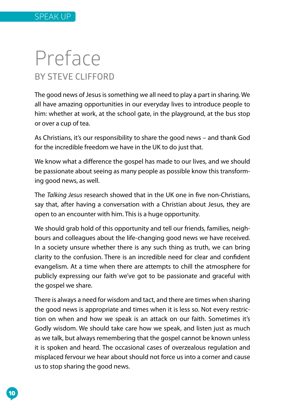## Preface **BY STEVE CLIFFORD**

The good news of Jesus is something we all need to play a part in sharing. We all have amazing opportunities in our everyday lives to introduce people to him: whether at work, at the school gate, in the playground, at the bus stop or over a cup of tea.

As Christians, it's our responsibility to share the good news – and thank God for the incredible freedom we have in the UK to do just that.

We know what a difference the gospel has made to our lives, and we should be passionate about seeing as many people as possible know this transforming good news, as well.

The *Talking Jesus* research showed that in the UK one in five non-Christians, say that, after having a conversation with a Christian about Jesus, they are open to an encounter with him. This is a huge opportunity.

We should grab hold of this opportunity and tell our friends, families, neighbours and colleagues about the life-changing good news we have received. In a society unsure whether there is any such thing as truth, we can bring clarity to the confusion. There is an incredible need for clear and confident evangelism. At a time when there are attempts to chill the atmosphere for publicly expressing our faith we've got to be passionate and graceful with the gospel we share.

There is always a need for wisdom and tact, and there are times when sharing the good news is appropriate and times when it is less so. Not every restriction on when and how we speak is an attack on our faith. Sometimes it's Godly wisdom. We should take care how we speak, and listen just as much as we talk, but always remembering that the gospel cannot be known unless it is spoken and heard. The occasional cases of overzealous regulation and misplaced fervour we hear about should not force us into a corner and cause us to stop sharing the good news.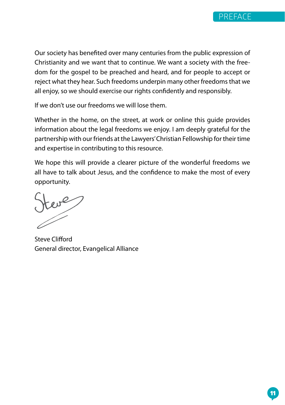

Our society has benefited over many centuries from the public expression of Christianity and we want that to continue. We want a society with the freedom for the gospel to be preached and heard, and for people to accept or reject what they hear. Such freedoms underpin many other freedoms that we all enjoy, so we should exercise our rights confidently and responsibly.

If we don't use our freedoms we will lose them.

Whether in the home, on the street, at work or online this quide provides information about the legal freedoms we enjoy. I am deeply grateful for the partnership with our friends at the Lawyers' Christian Fellowship for their time and expertise in contributing to this resource.

We hope this will provide a clearer picture of the wonderful freedoms we all have to talk about Jesus, and the confidence to make the most of every opportunity.

Steve Clifford General director, Evangelical Alliance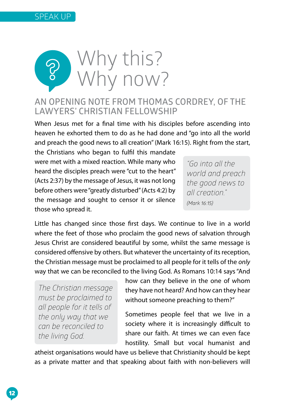



### **AN OPENING NOTE FROM THOMAS CORDREY, OF THE LAWYERS' CHRISTIAN FELLOWSHIP**

When Jesus met for a final time with his disciples before ascending into heaven he exhorted them to do as he had done and "go into all the world and preach the good news to all creation" (Mark 16:15). Right from the start,

the Christians who began to fulfil this mandate were met with a mixed reaction. While many who heard the disciples preach were "cut to the heart" (Acts 2:37) by the message of Jesus, it was not long before others were "greatly disturbed" (Acts 4:2) by the message and sought to censor it or silence those who spread it.

*"Go into all the world and preach the good news to all creation." (Mark 16:15)*

Little has changed since those first days. We continue to live in a world where the feet of those who proclaim the good news of salvation through Jesus Christ are considered beautiful by some, whilst the same message is considered offensive by others. But whatever the uncertainty of its reception, the Christian message must be proclaimed to all people for it tells of the *only* way that we can be reconciled to the living God. As Romans 10:14 says "And

*The Christian message must be proclaimed to all people for it tells of the only way that we can be reconciled to the living God.*

how can they believe in the one of whom they have not heard? And how can they hear without someone preaching to them?"

Sometimes people feel that we live in a society where it is increasingly difficult to share our faith. At times we can even face hostility. Small but vocal humanist and

atheist organisations would have us believe that Christianity should be kept as a private matter and that speaking about faith with non-believers will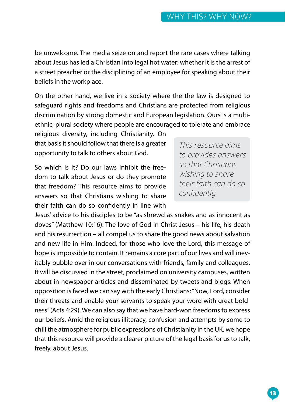be unwelcome. The media seize on and report the rare cases where talking about Jesus has led a Christian into legal hot water: whether it is the arrest of a street preacher or the disciplining of an employee for speaking about their beliefs in the workplace.

On the other hand, we live in a society where the the law is designed to safeguard rights and freedoms and Christians are protected from religious discrimination by strong domestic and European legislation. Ours is a multiethnic, plural society where people are encouraged to tolerate and embrace

religious diversity, including Christianity. On that basis it should follow that there is a greater opportunity to talk to others about God.

So which is it? Do our laws inhibit the freedom to talk about Jesus or do they promote that freedom? This resource aims to provide answers so that Christians wishing to share their faith can do so confidently in line with

*This resource aims to provides answers so that Christians wishing to share their faith can do so confidently.*

Jesus' advice to his disciples to be "as shrewd as snakes and as innocent as doves" (Matthew 10:16). The love of God in Christ Jesus – his life, his death and his resurrection – all compel us to share the good news about salvation and new life in Him. Indeed, for those who love the Lord, this message of hope is impossible to contain. It remains a core part of our lives and will inevitably bubble over in our conversations with friends, family and colleagues. It will be discussed in the street, proclaimed on university campuses, written about in newspaper articles and disseminated by tweets and blogs. When opposition is faced we can say with the early Christians: "Now, Lord, consider their threats and enable your servants to speak your word with great boldness" (Acts 4:29). We can also say that we have hard-won freedoms to express our beliefs. Amid the religious illiteracy, confusion and attempts by some to chill the atmosphere for public expressions of Christianity in the UK, we hope that this resource will provide a clearer picture of the legal basis for us to talk, freely, about Jesus.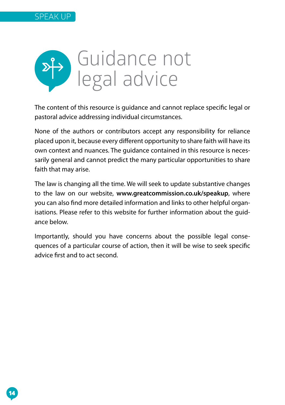

The content of this resource is guidance and cannot replace specific legal or pastoral advice addressing individual circumstances.

None of the authors or contributors accept any responsibility for reliance placed upon it, because every different opportunity to share faith will have its own context and nuances. The guidance contained in this resource is necessarily general and cannot predict the many particular opportunities to share faith that may arise.

The law is changing all the time. We will seek to update substantive changes to the law on our website, **[www.greatcommission.co.uk/speakup](http://www.greatcommission.co.uk/speakup)**, where you can also find more detailed information and links to other helpful organisations. Please refer to this website for further information about the guidance below.

Importantly, should you have concerns about the possible legal consequences of a particular course of action, then it will be wise to seek specific advice first and to act second.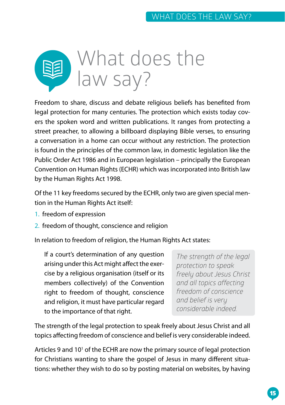

Freedom to share, discuss and debate religious beliefs has benefited from legal protection for many centuries. The protection which exists today covers the spoken word and written publications. It ranges from protecting a street preacher, to allowing a billboard displaying Bible verses, to ensuring a conversation in a home can occur without any restriction. The protection is found in the principles of the common law, in domestic legislation like the Public Order Act 1986 and in European legislation – principally the European Convention on Human Rights (ECHR) which was incorporated into British law by the Human Rights Act 1998.

Of the 11 key freedoms secured by the ECHR, only two are given special mention in the Human Rights Act itself:

- 1. freedom of expression
- 2. freedom of thought, conscience and religion

In relation to freedom of religion, the Human Rights Act states:

If a court's determination of any question arising under this Act might affect the exercise by a religious organisation (itself or its members collectively) of the Convention right to freedom of thought, conscience and religion, it must have particular regard to the importance of that right.

*The strength of the legal protection to speak freely about Jesus Christ and all topics affecting freedom of conscience and belief is very considerable indeed.*

The strength of the legal protection to speak freely about Jesus Christ and all topics affecting freedom of conscience and belief is very considerable indeed.

Articles 9 and 10<sup>1</sup> of the ECHR are now the primary source of legal protection for Christians wanting to share the gospel of Jesus in many different situations: whether they wish to do so by posting material on websites, by having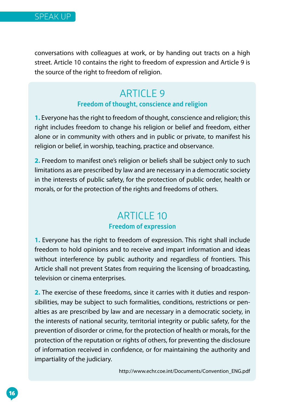conversations with colleagues at work, or by handing out tracts on a high street. Article 10 contains the right to freedom of expression and Article 9 is the source of the right to freedom of religion.

## ARTICLE 9

#### **Freedom of thought, conscience and religion**

**1.** Everyone has the right to freedom of thought, conscience and religion; this right includes freedom to change his religion or belief and freedom, either alone or in community with others and in public or private, to manifest his religion or belief, in worship, teaching, practice and observance.

**2.** Freedom to manifest one's religion or beliefs shall be subject only to such limitations as are prescribed by law and are necessary in a democratic society in the interests of public safety, for the protection of public order, health or morals, or for the protection of the rights and freedoms of others.

## **ARTICLE 10**

#### **Freedom of expression**

**1.** Everyone has the right to freedom of expression. This right shall include freedom to hold opinions and to receive and impart information and ideas without interference by public authority and regardless of frontiers. This Article shall not prevent States from requiring the licensing of broadcasting, television or cinema enterprises.

**2.** The exercise of these freedoms, since it carries with it duties and responsibilities, may be subject to such formalities, conditions, restrictions or penalties as are prescribed by law and are necessary in a democratic society, in the interests of national security, territorial integrity or public safety, for the prevention of disorder or crime, for the protection of health or morals, for the protection of the reputation or rights of others, for preventing the disclosure of information received in confidence, or for maintaining the authority and impartiality of the judiciary.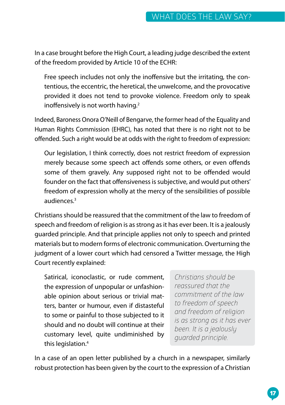In a case brought before the High Court, a leading judge described the extent of the freedom provided by Article 10 of the ECHR:

Free speech includes not only the inoffensive but the irritating, the contentious, the eccentric, the heretical, the unwelcome, and the provocative provided it does not tend to provoke violence. Freedom only to speak inoffensively is not worth having.<sup>2</sup>

Indeed, Baroness Onora O'Neill of Bengarve, the former head of the Equality and Human Rights Commission (EHRC), has noted that there is no right not to be offended. Such a right would be at odds with the right to freedom of expression:

Our legislation, I think correctly, does not restrict freedom of expression merely because some speech act offends some others, or even offends some of them gravely. Any supposed right not to be offended would founder on the fact that offensiveness is subjective, and would put others' freedom of expression wholly at the mercy of the sensibilities of possible audiences.3

Christians should be reassured that the commitment of the law to freedom of speech and freedom of religion is as strong as it has ever been. It is a jealously guarded principle. And that principle applies not only to speech and printed materials but to modern forms of electronic communication. Overturning the judgment of a lower court which had censored a Twitter message, the High Court recently explained:

Satirical, iconoclastic, or rude comment, the expression of unpopular or unfashionable opinion about serious or trivial matters, banter or humour, even if distasteful to some or painful to those subjected to it should and no doubt will continue at their customary level, quite undiminished by this legislation.<sup>4</sup>

*Christians should be reassured that the commitment of the law to freedom of speech and freedom of religion is as strong as it has ever been. It is a jealously guarded principle.* 

In a case of an open letter published by a church in a newspaper, similarly robust protection has been given by the court to the expression of a Christian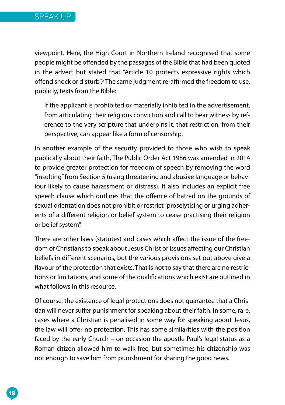viewpoint. Here, the High Court in Northern Ireland recognised that some people might be offended by the passages of the Bible that had been quoted in the advert but stated that "Article 10 protects expressive rights which offend shock or disturb<sup>", 5</sup> The same judgment re-affirmed the freedom to use, publicly, texts from the Bible:

If the applicant is prohibited or materially inhibited in the advertisement, from articulating their religious conviction and call to bear witness by reference to the very scripture that underpins it, that restriction, from their perspective, can appear like a form of censorship.

In another example of the security provided to those who wish to speak publically about their faith, The Public Order Act 1986 was amended in 2014 to provide greater protection for freedom of speech by removing the word "insulting" from Section 5 (using threatening and abusive language or behaviour likely to cause harassment or distress). It also includes an explicit free speech clause which outlines that the offence of hatred on the grounds of sexual orientation does not prohibit or restrict "proselytising or urging adherents of a different religion or belief system to cease practising their religion or belief system".

There are other laws (statutes) and cases which affect the issue of the freedom of Christians to speak about Jesus Christ or issues affecting our Christian beliefs in different scenarios, but the various provisions set out above give a flavour of the protection that exists. That is not to say that there are no restrictions or limitations, and some of the qualifications which exist are outlined in what follows in this resource.

Of course, the existence of legal protections does not guarantee that a Christian will never suffer punishment for speaking about their faith. In some, rare, cases where a Christian is penalised in some way for speaking about Jesus, the law will offer no protection. This has some similarities with the position faced by the early Church – on occasion the apostle Paul's legal status as a Roman citizen allowed him to walk free, but sometimes his citizenship was not enough to save him from punishment for sharing the good news.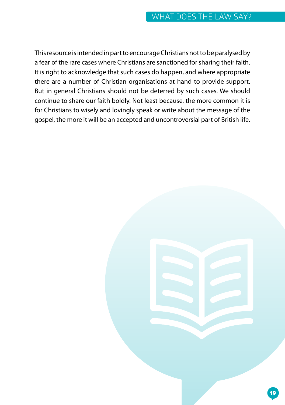This resource is intended in part to encourage Christians not to be paralysed by a fear of the rare cases where Christians are sanctioned for sharing their faith. It is right to acknowledge that such cases do happen, and where appropriate there are a number of Christian organisations at hand to provide support. But in general Christians should not be deterred by such cases. We should continue to share our faith boldly. Not least because, the more common it is for Christians to wisely and lovingly speak or write about the message of the gospel, the more it will be an accepted and uncontroversial part of British life.

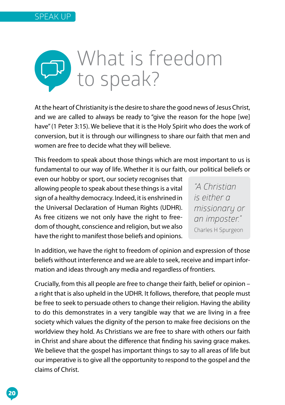

At the heart of Christianity is the desire to share the good news of Jesus Christ, and we are called to always be ready to "give the reason for the hope [we] have" (1 Peter 3:15). We believe that it is the Holy Spirit who does the work of conversion, but it is through our willingness to share our faith that men and women are free to decide what they will believe.

This freedom to speak about those things which are most important to us is fundamental to our way of life. Whether it is our faith, our political beliefs or

even our hobby or sport, our society recognises that allowing people to speak about these things is a vital sign of a healthy democracy. Indeed, it is enshrined in the Universal Declaration of Human Rights (UDHR). As free citizens we not only have the right to freedom of thought, conscience and religion, but we also have the right to manifest those beliefs and opinions.

*"A Christian is either a missionary or an imposter."*  Charles H Spurgeon

In addition, we have the right to freedom of opinion and expression of those beliefs without interference and we are able to seek, receive and impart information and ideas through any media and regardless of frontiers.

Crucially, from this all people are free to change their faith, belief or opinion – a right that is also upheld in the UDHR. It follows, therefore, that people must be free to seek to persuade others to change their religion. Having the ability to do this demonstrates in a very tangible way that we are living in a free society which values the dignity of the person to make free decisions on the worldview they hold. As Christians we are free to share with others our faith in Christ and share about the difference that finding his saving grace makes. We believe that the gospel has important things to say to all areas of life but our imperative is to give all the opportunity to respond to the gospel and the claims of Christ.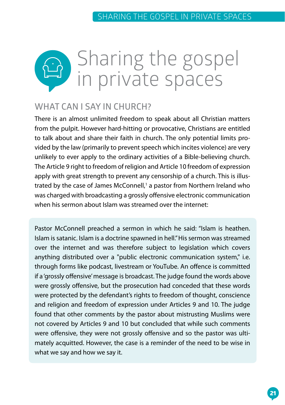

## **WHAT CAN I SAY IN CHURCH?**

There is an almost unlimited freedom to speak about all Christian matters from the pulpit. However hard-hitting or provocative, Christians are entitled to talk about and share their faith in church. The only potential limits provided by the law (primarily to prevent speech which incites violence) are very unlikely to ever apply to the ordinary activities of a Bible-believing church. The Article 9 right to freedom of religion and Article 10 freedom of expression apply with great strength to prevent any censorship of a church. This is illustrated by the case of James McConnell,<sup>1</sup> a pastor from Northern Ireland who was charged with broadcasting a grossly offensive electronic communication when his sermon about Islam was streamed over the internet:

Pastor McConnell preached a sermon in which he said: "Islam is heathen. Islam is satanic. Islam is a doctrine spawned in hell." His sermon was streamed over the internet and was therefore subject to legislation which covers anything distributed over a "public electronic communication system," i.e. through forms like podcast, livestream or YouTube. An offence is committed if a 'grossly offensive' message is broadcast. The judge found the words above were grossly offensive, but the prosecution had conceded that these words were protected by the defendant's rights to freedom of thought, conscience and religion and freedom of expression under Articles 9 and 10. The judge found that other comments by the pastor about mistrusting Muslims were not covered by Articles 9 and 10 but concluded that while such comments were offensive, they were not grossly offensive and so the pastor was ultimately acquitted. However, the case is a reminder of the need to be wise in what we say and how we say it.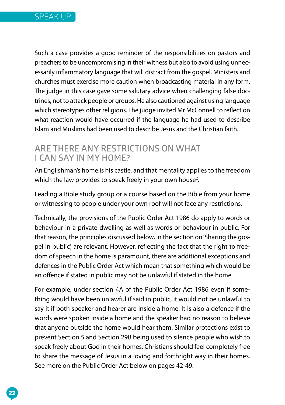

Such a case provides a good reminder of the responsibilities on pastors and preachers to be uncompromising in their witness but also to avoid using unnecessarily inflammatory language that will distract from the gospel. Ministers and churches must exercise more caution when broadcasting material in any form. The judge in this case gave some salutary advice when challenging false doctrines, not to attack people or groups. He also cautioned against using language which stereotypes other religions. The judge invited Mr McConnell to reflect on what reaction would have occurred if the language he had used to describe Islam and Muslims had been used to describe Jesus and the Christian faith.

### **ARE THERE ANY RESTRICTIONS ON WHAT I CAN SAY IN MY HOME?**

An Englishman's home is his castle, and that mentality applies to the freedom which the law provides to speak freely in your own house<sup>2</sup>.

Leading a Bible study group or a course based on the Bible from your home or witnessing to people under your own roof will not face any restrictions.

Technically, the provisions of the Public Order Act 1986 do apply to words or behaviour in a private dwelling as well as words or behaviour in public. For that reason, the principles discussed below, in the section on 'Sharing the gospel in public', are relevant. However, reflecting the fact that the right to freedom of speech in the home is paramount, there are additional exceptions and defences in the Public Order Act which mean that something which would be an offence if stated in public may not be unlawful if stated in the home.

For example, under section 4A of the Public Order Act 1986 even if something would have been unlawful if said in public, it would not be unlawful to say it if both speaker and hearer are inside a home. It is also a defence if the words were spoken inside a home and the speaker had no reason to believe that anyone outside the home would hear them. Similar protections exist to prevent Section 5 and Section 29B being used to silence people who wish to speak freely about God in their homes. Christians should feel completely free to share the message of Jesus in a loving and forthright way in their homes. See more on the Public Order Act below on pages 42-49.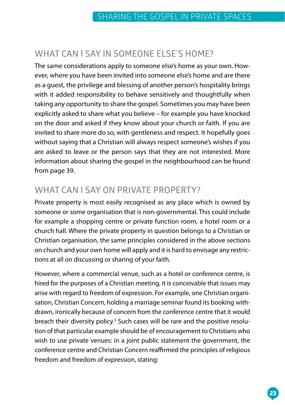## **WHAT CAN I SAY IN SOMEONE ELSE'S HOME?**

The same considerations apply to someone else's home as your own. However, where you have been invited into someone else's home and are there as a guest, the privilege and blessing of another person's hospitality brings with it added responsibility to behave sensitively and thoughtfully when taking any opportunity to share the gospel. Sometimes you may have been explicitly asked to share what you believe – for example you have knocked on the door and asked if they know about your church or faith. If you are invited to share more do so, with gentleness and respect. It hopefully goes without saying that a Christian will always respect someone's wishes if you are asked to leave or the person says that they are not interested. More information about sharing the gospel in the neighbourhood can be found from page 39.

## **WHAT CAN I SAY ON PRIVATE PROPERTY?**

Private property is most easily recognised as any place which is owned by someone or some organisation that is non-governmental. This could include for example a shopping centre or private function room, a hotel room or a church hall. Where the private property in question belongs to a Christian or Christian organisation, the same principles considered in the above sections on church and your own home will apply and it is hard to envisage any restrictions at all on discussing or sharing of your faith.

However, where a commercial venue, such as a hotel or conference centre, is hired for the purposes of a Christian meeting, it is conceivable that issues may arise with regard to freedom of expression. For example, one Christian organisation, Christian Concern, holding a marriage seminar found its booking withdrawn, ironically because of concern from the conference centre that it would breach their diversity policy.<sup>3</sup> Such cases will be rare and the positive resolution of that particular example should be of encouragement to Christians who wish to use private venues: in a joint public statement the government, the conference centre and Christian Concern reaffirmed the principles of religious freedom and freedom of expression, stating: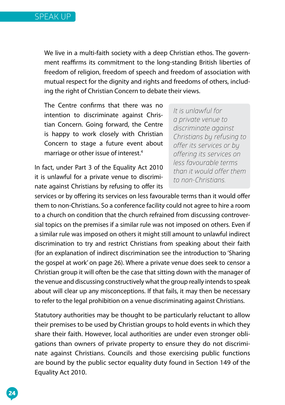We live in a multi-faith society with a deep Christian ethos. The government reaffirms its commitment to the long-standing British liberties of freedom of religion, freedom of speech and freedom of association with mutual respect for the dignity and rights and freedoms of others, including the right of Christian Concern to debate their views.

The Centre confirms that there was no intention to discriminate against Christian Concern. Going forward, the Centre is happy to work closely with Christian Concern to stage a future event about marriage or other issue of interest.4

In fact, under Part 3 of the Equality Act 2010 it is unlawful for a private venue to discriminate against Christians by refusing to offer its

*It is unlawful for a private venue to discriminate against Christians by refusing to offer its services or by offering its services on less favourable terms than it would offer them to non-Christians.*

services or by offering its services on less favourable terms than it would offer them to non-Christians. So a conference facility could not agree to hire a room to a church on condition that the church refrained from discussing controversial topics on the premises if a similar rule was not imposed on others. Even if a similar rule was imposed on others it might still amount to unlawful indirect discrimination to try and restrict Christians from speaking about their faith (for an explanation of indirect discrimination see the introduction to 'Sharing the gospel at work' on page 26). Where a private venue does seek to censor a Christian group it will often be the case that sitting down with the manager of the venue and discussing constructively what the group really intends to speak about will clear up any misconceptions. If that fails, it may then be necessary to refer to the legal prohibition on a venue discriminating against Christians.

Statutory authorities may be thought to be particularly reluctant to allow their premises to be used by Christian groups to hold events in which they share their faith. However, local authorities are under even stronger obligations than owners of private property to ensure they do not discriminate against Christians. Councils and those exercising public functions are bound by the public sector equality duty found in Section 149 of the Equality Act 2010.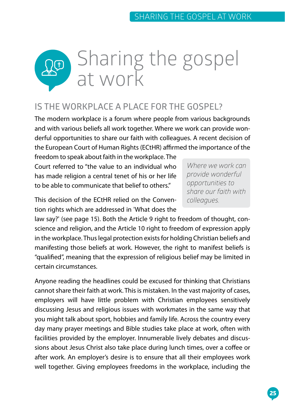

## **IS THE WORKPLACE A PLACE FOR THE GOSPEL?**

The modern workplace is a forum where people from various backgrounds and with various beliefs all work together. Where we work can provide wonderful opportunities to share our faith with colleagues. A recent decision of the European Court of Human Rights (ECtHR) affirmed the importance of the

freedom to speak about faith in the workplace. The Court referred to "the value to an individual who has made religion a central tenet of his or her life to be able to communicate that belief to others."

*Where we work can provide wonderful opportunities to share our faith with colleagues.*

This decision of the ECtHR relied on the Convention rights which are addressed in 'What does the

law say?' (see page 15). Both the Article 9 right to freedom of thought, conscience and religion, and the Article 10 right to freedom of expression apply in the workplace. Thus legal protection exists for holding Christian beliefs and manifesting those beliefs at work. However, the right to manifest beliefs is "qualified", meaning that the expression of religious belief may be limited in certain circumstances.

Anyone reading the headlines could be excused for thinking that Christians cannot share their faith at work. This is mistaken. In the vast majority of cases, employers will have little problem with Christian employees sensitively discussing Jesus and religious issues with workmates in the same way that you might talk about sport, hobbies and family life. Across the country every day many prayer meetings and Bible studies take place at work, often with facilities provided by the employer. Innumerable lively debates and discussions about Jesus Christ also take place during lunch times, over a coffee or after work. An employer's desire is to ensure that all their employees work well together. Giving employees freedoms in the workplace, including the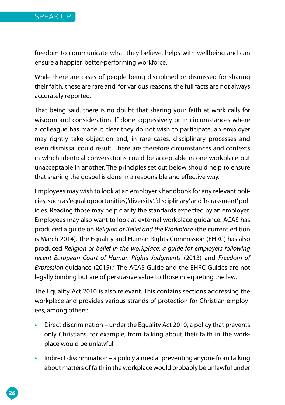

freedom to communicate what they believe, helps with wellbeing and can ensure a happier, better-performing workforce.

While there are cases of people being disciplined or dismissed for sharing their faith, these are rare and, for various reasons, the full facts are not always accurately reported.

That being said, there is no doubt that sharing your faith at work calls for wisdom and consideration. If done aggressively or in circumstances where a colleague has made it clear they do not wish to participate, an employer may rightly take objection and, in rare cases, disciplinary processes and even dismissal could result. There are therefore circumstances and contexts in which identical conversations could be acceptable in one workplace but unacceptable in another. The principles set out below should help to ensure that sharing the gospel is done in a responsible and effective way.

Employees may wish to look at an employer's handbook for any relevant policies, such as 'equal opportunities', 'diversity', 'disciplinary' and 'harassment' policies. Reading those may help clarify the standards expected by an employer. Employees may also want to look at external workplace guidance. ACAS has produced a guide on *Religion or Belief and the Workplace* (the current edition is March 2014). The Equality and Human Rights Commission (EHRC) has also produced *Religion or belief in the workplace: a guide for employers following recent European Court of Human Rights Judgments* (2013) and *Freedom of*  Expression guidance (2015).<sup>2</sup> The ACAS Guide and the EHRC Guides are not legally binding but are of persuasive value to those interpreting the law.

The Equality Act 2010 is also relevant. This contains sections addressing the workplace and provides various strands of protection for Christian employees, among others:

- **•** Direct discrimination under the Equality Act 2010, a policy that prevents only Christians, for example, from talking about their faith in the workplace would be unlawful.
- **•** Indirect discrimination a policy aimed at preventing anyone from talking about matters of faith in the workplace would probably be unlawful under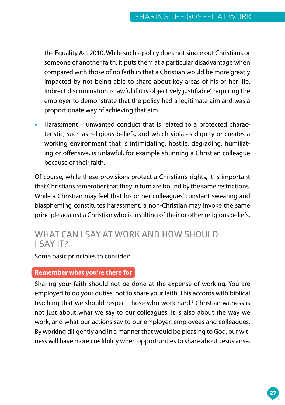the Equality Act 2010. While such a policy does not single out Christians or someone of another faith, it puts them at a particular disadvantage when compared with those of no faith in that a Christian would be more greatly impacted by not being able to share about key areas of his or her life. Indirect discrimination is lawful if it is 'objectively justifiable', requiring the employer to demonstrate that the policy had a legitimate aim and was a proportionate way of achieving that aim.

**•** Harassment – unwanted conduct that is related to a protected characteristic, such as religious beliefs, and which violates dignity or creates a working environment that is intimidating, hostile, degrading, humiliating or offensive, is unlawful, for example shunning a Christian colleague because of their faith.

Of course, while these provisions protect a Christian's rights, it is important that Christians remember that they in turn are bound by the same restrictions. While a Christian may feel that his or her colleagues' constant swearing and blaspheming constitutes harassment, a non-Christian may invoke the same principle against a Christian who is insulting of their or other religious beliefs.

### **WHAT CAN I SAY AT WORK AND HOW SHOULD I SAY IT?**

Some basic principles to consider:

#### **Remember what you're there for**

Sharing your faith should not be done at the expense of working. You are employed to do your duties, not to share your faith. This accords with biblical teaching that we should respect those who work hard.<sup>3</sup> Christian witness is not just about what we say to our colleagues. It is also about the way we work, and what our actions say to our employer, employees and colleagues. By working diligently and in a manner that would be pleasing to God, our witness will have more credibility when opportunities to share about Jesus arise.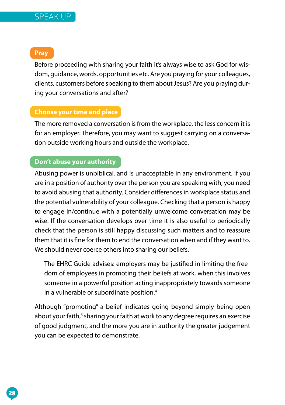#### SPEAK UP

**Pray**

Before proceeding with sharing your faith it's always wise to ask God for wisdom, guidance, words, opportunities etc. Are you praying for your colleagues, clients, customers before speaking to them about Jesus? Are you praying during your conversations and after?

#### **Choose your time and place**

The more removed a conversation is from the workplace, the less concern it is for an employer. Therefore, you may want to suggest carrying on a conversation outside working hours and outside the workplace.

#### **Don't abuse your authority**

Abusing power is unbiblical, and is unacceptable in any environment. If you are in a position of authority over the person you are speaking with, you need to avoid abusing that authority. Consider differences in workplace status and the potential vulnerability of your colleague. Checking that a person is happy to engage in/continue with a potentially unwelcome conversation may be wise. If the conversation develops over time it is also useful to periodically check that the person is still happy discussing such matters and to reassure them that it is fine for them to end the conversation when and if they want to. We should never coerce others into sharing our beliefs.

The EHRC Guide advises: employers may be justified in limiting the freedom of employees in promoting their beliefs at work, when this involves someone in a powerful position acting inappropriately towards someone in a vulnerable or subordinate position.4

Although "promoting" a belief indicates going beyond simply being open about your faith,<sup>5</sup> sharing your faith at work to any degree requires an exercise of good judgment, and the more you are in authority the greater judgement you can be expected to demonstrate.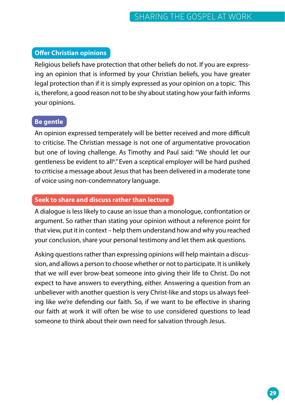#### **Offer Christian opinions**

Religious beliefs have protection that other beliefs do not. If you are expressing an opinion that is informed by your Christian beliefs, you have greater legal protection than if it is simply expressed as your opinion on a topic. This is, therefore, a good reason not to be shy about stating how your faith informs your opinions.

#### **Be gentle**

An opinion expressed temperately will be better received and more difficult to criticise. The Christian message is not one of argumentative provocation but one of loving challenge. As Timothy and Paul said: "We should let our gentleness be evident to all<sup>6</sup>." Even a sceptical employer will be hard pushed to criticise a message about Jesus that has been delivered in a moderate tone of voice using non-condemnatory language.

#### **Seek to share and discuss rather than lecture**

A dialogue is less likely to cause an issue than a monologue, confrontation or argument. So rather than stating your opinion without a reference point for that view, put it in context – help them understand how and why you reached your conclusion, share your personal testimony and let them ask questions.

Asking questions rather than expressing opinions will help maintain a discussion, and allows a person to choose whether or not to participate. It is unlikely that we will ever brow-beat someone into giving their life to Christ. Do not expect to have answers to everything, either. Answering a question from an unbeliever with another question is very Christ-like and stops us always feeling like we're defending our faith. So, if we want to be effective in sharing our faith at work it will often be wise to use considered questions to lead someone to think about their own need for salvation through Jesus.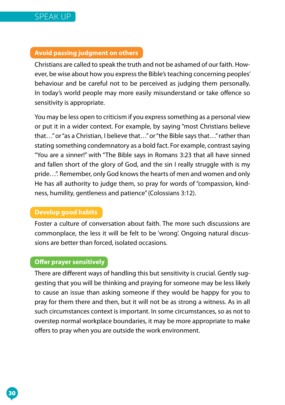#### **Avoid passing judgment on others**

Christians are called to speak the truth and not be ashamed of our faith. However, be wise about how you express the Bible's teaching concerning peoples' behaviour and be careful not to be perceived as judging them personally. In today's world people may more easily misunderstand or take offence so sensitivity is appropriate.

You may be less open to criticism if you express something as a personal view or put it in a wider context. For example, by saying "most Christians believe that…" or "as a Christian, I believe that…" or "the Bible says that…" rather than stating something condemnatory as a bold fact. For example, contrast saying "You are a sinner!" with "The Bible says in Romans 3:23 that all have sinned and fallen short of the glory of God, and the sin I really struggle with is my pride…". Remember, only God knows the hearts of men and women and only He has all authority to judge them, so pray for words of "compassion, kindness, humility, gentleness and patience" (Colossians 3:12).

#### **Develop good habits**

Foster a culture of conversation about faith. The more such discussions are commonplace, the less it will be felt to be 'wrong'. Ongoing natural discussions are better than forced, isolated occasions.

#### **Offer prayer sensitively**

There are different ways of handling this but sensitivity is crucial. Gently suggesting that you will be thinking and praying for someone may be less likely to cause an issue than asking someone if they would be happy for you to pray for them there and then, but it will not be as strong a witness. As in all such circumstances context is important. In some circumstances, so as not to overstep normal workplace boundaries, it may be more appropriate to make offers to pray when you are outside the work environment.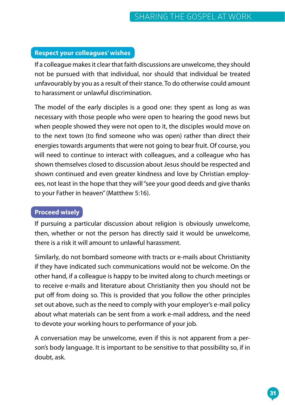#### **Respect your colleagues' wishes**

If a colleague makes it clear that faith discussions are unwelcome, they should not be pursued with that individual, nor should that individual be treated unfavourably by you as a result of their stance. To do otherwise could amount to harassment or unlawful discrimination.

The model of the early disciples is a good one: they spent as long as was necessary with those people who were open to hearing the good news but when people showed they were not open to it, the disciples would move on to the next town (to find someone who was open) rather than direct their energies towards arguments that were not going to bear fruit. Of course, you will need to continue to interact with colleagues, and a colleague who has shown themselves closed to discussion about Jesus should be respected and shown continued and even greater kindness and love by Christian employees, not least in the hope that they will "see your good deeds and give thanks to your Father in heaven" (Matthew 5:16).

#### **Proceed wisely**

If pursuing a particular discussion about religion is obviously unwelcome, then, whether or not the person has directly said it would be unwelcome, there is a risk it will amount to unlawful harassment.

Similarly, do not bombard someone with tracts or e-mails about Christianity if they have indicated such communications would not be welcome. On the other hand, if a colleague is happy to be invited along to church meetings or to receive e-mails and literature about Christianity then you should not be put off from doing so. This is provided that you follow the other principles set out above, such as the need to comply with your employer's e-mail policy about what materials can be sent from a work e-mail address, and the need to devote your working hours to performance of your job.

A conversation may be unwelcome, even if this is not apparent from a person's body language. It is important to be sensitive to that possibility so, if in doubt, ask.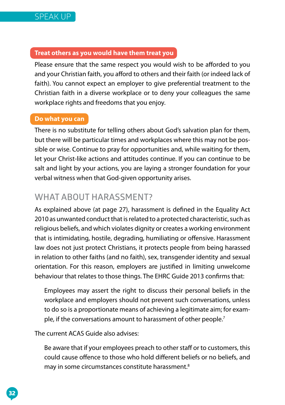#### **Treat others as you would have them treat you**

Please ensure that the same respect you would wish to be afforded to you and your Christian faith, you afford to others and their faith (or indeed lack of faith). You cannot expect an employer to give preferential treatment to the Christian faith in a diverse workplace or to deny your colleagues the same workplace rights and freedoms that you enjoy.

#### **Do what you can**

There is no substitute for telling others about God's salvation plan for them, but there will be particular times and workplaces where this may not be possible or wise. Continue to pray for opportunities and, while waiting for them, let your Christ-like actions and attitudes continue. If you can continue to be salt and light by your actions, you are laying a stronger foundation for your verbal witness when that God-given opportunity arises.

## **WHAT ABOUT HARASSMENT?**

As explained above (at page 27), harassment is defined in the Equality Act 2010 as unwanted conduct that is related to a protected characteristic, such as religious beliefs, and which violates dignity or creates a working environment that is intimidating, hostile, degrading, humiliating or offensive. Harassment law does not just protect Christians, it protects people from being harassed in relation to other faiths (and no faith), sex, transgender identity and sexual orientation. For this reason, employers are justified in limiting unwelcome behaviour that relates to those things. The EHRC Guide 2013 confirms that:

Employees may assert the right to discuss their personal beliefs in the workplace and employers should not prevent such conversations, unless to do so is a proportionate means of achieving a legitimate aim; for example, if the conversations amount to harassment of other people.<sup>7</sup>

The current ACAS Guide also advises:

Be aware that if your employees preach to other staff or to customers, this could cause offence to those who hold different beliefs or no beliefs, and may in some circumstances constitute harassment.<sup>8</sup>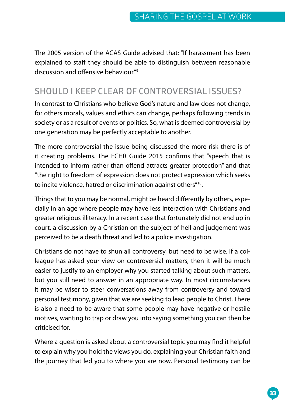The 2005 version of the ACAS Guide advised that: "If harassment has been explained to staff they should be able to distinguish between reasonable discussion and offensive behaviour."9

## **SHOULD I KEEP CLEAR OF CONTROVERSIAL ISSUES?**

In contrast to Christians who believe God's nature and law does not change, for others morals, values and ethics can change, perhaps following trends in society or as a result of events or politics. So, what is deemed controversial by one generation may be perfectly acceptable to another.

The more controversial the issue being discussed the more risk there is of it creating problems. The ECHR Guide 2015 confirms that "speech that is intended to inform rather than offend attracts greater protection" and that "the right to freedom of expression does not protect expression which seeks to incite violence, hatred or discrimination against others"10.

Things that to you may be normal, might be heard differently by others, especially in an age where people may have less interaction with Christians and greater religious illiteracy. In a recent case that fortunately did not end up in court, a discussion by a Christian on the subject of hell and judgement was perceived to be a death threat and led to a police investigation.

Christians do not have to shun all controversy, but need to be wise. If a colleague has asked your view on controversial matters, then it will be much easier to justify to an employer why you started talking about such matters, but you still need to answer in an appropriate way. In most circumstances it may be wiser to steer conversations away from controversy and toward personal testimony, given that we are seeking to lead people to Christ. There is also a need to be aware that some people may have negative or hostile motives, wanting to trap or draw you into saying something you can then be criticised for.

Where a question is asked about a controversial topic you may find it helpful to explain why you hold the views you do, explaining your Christian faith and the journey that led you to where you are now. Personal testimony can be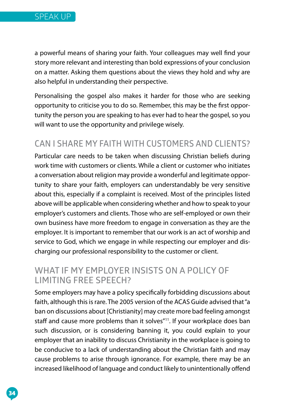a powerful means of sharing your faith. Your colleagues may well find your story more relevant and interesting than bold expressions of your conclusion on a matter. Asking them questions about the views they hold and why are also helpful in understanding their perspective.

Personalising the gospel also makes it harder for those who are seeking opportunity to criticise you to do so. Remember, this may be the first opportunity the person you are speaking to has ever had to hear the gospel, so you will want to use the opportunity and privilege wisely.

## **CAN I SHARE MY FAITH WITH CUSTOMERS AND CLIENTS?**

Particular care needs to be taken when discussing Christian beliefs during work time with customers or clients. While a client or customer who initiates a conversation about religion may provide a wonderful and legitimate opportunity to share your faith, employers can understandably be very sensitive about this, especially if a complaint is received. Most of the principles listed above will be applicable when considering whether and how to speak to your employer's customers and clients. Those who are self-employed or own their own business have more freedom to engage in conversation as they are the employer. It is important to remember that our work is an act of worship and service to God, which we engage in while respecting our employer and discharging our professional responsibility to the customer or client.

### **WHAT IF MY EMPLOYER INSISTS ON A POLICY OF LIMITING FREE SPEECH?**

Some employers may have a policy specifically forbidding discussions about faith, although this is rare. The 2005 version of the ACAS Guide advised that "a ban on discussions about [Christianity] may create more bad feeling amongst staff and cause more problems than it solves"<sup>11</sup>. If your workplace does ban such discussion, or is considering banning it, you could explain to your employer that an inability to discuss Christianity in the workplace is going to be conducive to a lack of understanding about the Christian faith and may cause problems to arise through ignorance. For example, there may be an increased likelihood of language and conduct likely to unintentionally offend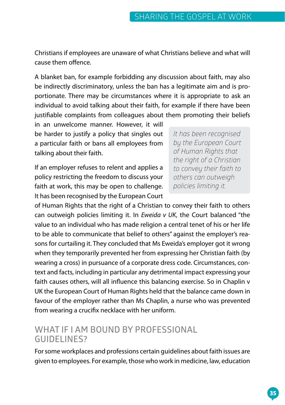Christians if employees are unaware of what Christians believe and what will cause them offence.

A blanket ban, for example forbidding any discussion about faith, may also be indirectly discriminatory, unless the ban has a legitimate aim and is proportionate. There may be circumstances where it is appropriate to ask an individual to avoid talking about their faith, for example if there have been justifiable complaints from colleagues about them promoting their beliefs

in an unwelcome manner. However, it will be harder to justify a policy that singles out a particular faith or bans all employees from talking about their faith.

If an employer refuses to relent and applies a policy restricting the freedom to discuss your faith at work, this may be open to challenge. It has been recognised by the European Court

*It has been recognised by the European Court of Human Rights that the right of a Christian to convey their faith to others can outweigh policies limiting it.* 

of Human Rights that the right of a Christian to convey their faith to others can outweigh policies limiting it. In *Eweida v UK*, the Court balanced "the value to an individual who has made religion a central tenet of his or her life to be able to communicate that belief to others" against the employer's reasons for curtailing it. They concluded that Ms Eweida's employer got it wrong when they temporarily prevented her from expressing her Christian faith (by wearing a cross) in pursuance of a corporate dress code. Circumstances, context and facts, including in particular any detrimental impact expressing your faith causes others, will all influence this balancing exercise. So in Chaplin v UK the European Court of Human Rights held that the balance came down in favour of the employer rather than Ms Chaplin, a nurse who was prevented from wearing a crucifix necklace with her uniform.

#### **WHAT IF I AM BOUND BY PROFESSIONAL GUIDELINES?**

For some workplaces and professions certain guidelines about faith issues are given to employees. For example, those who work in medicine, law, education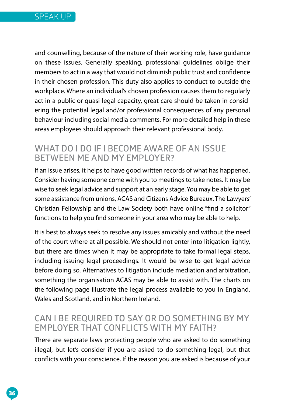

and counselling, because of the nature of their working role, have guidance on these issues. Generally speaking, professional guidelines oblige their members to act in a way that would not diminish public trust and confidence in their chosen profession. This duty also applies to conduct to outside the workplace. Where an individual's chosen profession causes them to regularly act in a public or quasi-legal capacity, great care should be taken in considering the potential legal and/or professional consequences of any personal behaviour including social media comments. For more detailed help in these areas employees should approach their relevant professional body.

#### **WHAT DO I DO IF I BECOME AWARE OF AN ISSUE BETWEEN ME AND MY EMPLOYER?**

If an issue arises, it helps to have good written records of what has happened. Consider having someone come with you to meetings to take notes. It may be wise to seek legal advice and support at an early stage. You may be able to get some assistance from unions, ACAS and Citizens Advice Bureaux. The Lawyers' Christian Fellowship and the Law Society both have online "find a solicitor" functions to help you find someone in your area who may be able to help.

It is best to always seek to resolve any issues amicably and without the need of the court where at all possible. We should not enter into litigation lightly, but there are times when it may be appropriate to take formal legal steps, including issuing legal proceedings. It would be wise to get legal advice before doing so. Alternatives to litigation include mediation and arbitration, something the organisation ACAS may be able to assist with. The charts on the following page illustrate the legal process available to you in England, Wales and Scotland, and in Northern Ireland.

#### **CAN I BE REQUIRED TO SAY OR DO SOMETHING BY MY EMPLOYER THAT CONFLICTS WITH MY FAITH?**

There are separate laws protecting people who are asked to do something illegal, but let's consider if you are asked to do something legal, but that conflicts with your conscience. If the reason you are asked is because of your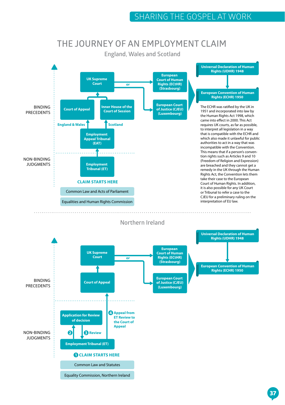#### **THE JOURNEY OF AN EMPLOYMENT CLAIM**

**England, Wales and Scotland**





**Northern Ireland**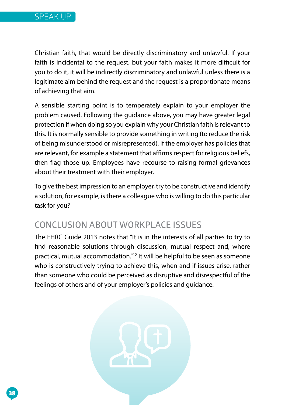Christian faith, that would be directly discriminatory and unlawful. If your faith is incidental to the request, but your faith makes it more difficult for you to do it, it will be indirectly discriminatory and unlawful unless there is a legitimate aim behind the request and the request is a proportionate means of achieving that aim.

A sensible starting point is to temperately explain to your employer the problem caused. Following the guidance above, you may have greater legal protection if when doing so you explain why your Christian faith is relevant to this. It is normally sensible to provide something in writing (to reduce the risk of being misunderstood or misrepresented). If the employer has policies that are relevant, for example a statement that affirms respect for religious beliefs, then flag those up. Employees have recourse to raising formal grievances about their treatment with their employer.

To give the best impression to an employer, try to be constructive and identify a solution, for example, is there a colleague who is willing to do this particular task for you?

### **CONCLUSION ABOUT WORKPLACE ISSUES**

The EHRC Guide 2013 notes that "It is in the interests of all parties to try to find reasonable solutions through discussion, mutual respect and, where practical, mutual accommodation."12 It will be helpful to be seen as someone who is constructively trying to achieve this, when and if issues arise, rather than someone who could be perceived as disruptive and disrespectful of the feelings of others and of your employer's policies and guidance.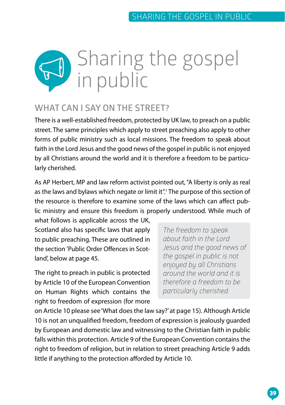

#### **WHAT CAN I SAY ON THE STREET?**

There is a well-established freedom, protected by UK law, to preach on a public street. The same principles which apply to street preaching also apply to other forms of public ministry such as local missions. The freedom to speak about faith in the Lord Jesus and the good news of the gospel in public is not enjoyed by all Christians around the world and it is therefore a freedom to be particularly cherished.

As AP Herbert, MP and law reform activist pointed out, "A liberty is only as real as the laws and bylaws which negate or limit it".<sup>1</sup> The purpose of this section of the resource is therefore to examine some of the laws which can affect public ministry and ensure this freedom is properly understood. While much of

what follows is applicable across the UK, Scotland also has specific laws that apply to public preaching. These are outlined in the section 'Public Order Offences in Scotland', below at page 45.

The right to preach in public is protected by Article 10 of the European Convention on Human Rights which contains the right to freedom of expression (for more

*The freedom to speak about faith in the Lord Jesus and the good news of the gospel in public is not enjoyed by all Christians around the world and it is therefore a freedom to be particularly cherished.* 

on Article 10 please see 'What does the law say?' at page 15). Although Article 10 is not an unqualified freedom, freedom of expression is jealously guarded by European and domestic law and witnessing to the Christian faith in public falls within this protection. Article 9 of the European Convention contains the right to freedom of religion, but in relation to street preaching Article 9 adds little if anything to the protection afforded by Article 10.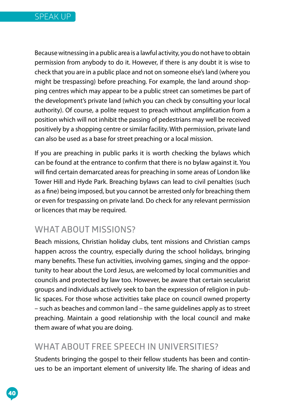Because witnessing in a public area is a lawful activity, you do not have to obtain permission from anybody to do it. However, if there is any doubt it is wise to check that you are in a public place and not on someone else's land (where you might be trespassing) before preaching. For example, the land around shopping centres which may appear to be a public street can sometimes be part of the development's private land (which you can check by consulting your local authority). Of course, a polite request to preach without amplification from a position which will not inhibit the passing of pedestrians may well be received positively by a shopping centre or similar facility. With permission, private land can also be used as a base for street preaching or a local mission.

If you are preaching in public parks it is worth checking the bylaws which can be found at the entrance to confirm that there is no bylaw against it. You will find certain demarcated areas for preaching in some areas of London like Tower Hill and Hyde Park. Breaching bylaws can lead to civil penalties (such as a fine) being imposed, but you cannot be arrested only for breaching them or even for trespassing on private land. Do check for any relevant permission or licences that may be required.

### **WHAT ABOUT MISSIONS?**

Beach missions, Christian holiday clubs, tent missions and Christian camps happen across the country, especially during the school holidays, bringing many benefits. These fun activities, involving games, singing and the opportunity to hear about the Lord Jesus, are welcomed by local communities and councils and protected by law too. However, be aware that certain secularist groups and individuals actively seek to ban the expression of religion in public spaces. For those whose activities take place on council owned property – such as beaches and common land – the same guidelines apply as to street preaching. Maintain a good relationship with the local council and make them aware of what you are doing.

### **WHAT ABOUT FREE SPEECH IN UNIVERSITIES?**

Students bringing the gospel to their fellow students has been and continues to be an important element of university life. The sharing of ideas and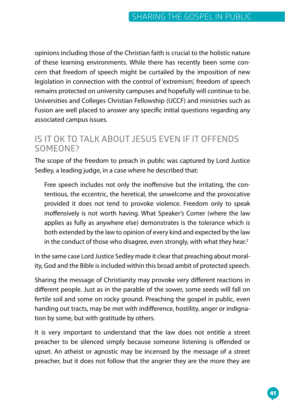opinions including those of the Christian faith is crucial to the holistic nature of these learning environments. While there has recently been some concern that freedom of speech might be curtailed by the imposition of new legislation in connection with the control of 'extremism', freedom of speech remains protected on university campuses and hopefully will continue to be. Universities and Colleges Christian Fellowship (UCCF) and ministries such as Fusion are well placed to answer any specific initial questions regarding any associated campus issues.

#### **IS IT OK TO TALK ABOUT JESUS EVEN IF IT OFFENDS SOMEONE?**

The scope of the freedom to preach in public was captured by Lord Justice Sedley, a leading judge, in a case where he described that:

Free speech includes not only the inoffensive but the irritating, the contentious, the eccentric, the heretical, the unwelcome and the provocative provided it does not tend to provoke violence. Freedom only to speak inoffensively is not worth having. What Speaker's Corner (where the law applies as fully as anywhere else) demonstrates is the tolerance which is both extended by the law to opinion of every kind and expected by the law in the conduct of those who disagree, even strongly, with what they hear.<sup>2</sup>

In the same case Lord Justice Sedley made it clear that preaching about morality, God and the Bible is included within this broad ambit of protected speech.

Sharing the message of Christianity may provoke very different reactions in different people. Just as in the parable of the sower, some seeds will fall on fertile soil and some on rocky ground. Preaching the gospel in public, even handing out tracts, may be met with indifference, hostility, anger or indignation by some, but with gratitude by others.

It is very important to understand that the law does not entitle a street preacher to be silenced simply because someone listening is offended or upset. An atheist or agnostic may be incensed by the message of a street preacher, but it does not follow that the angrier they are the more they are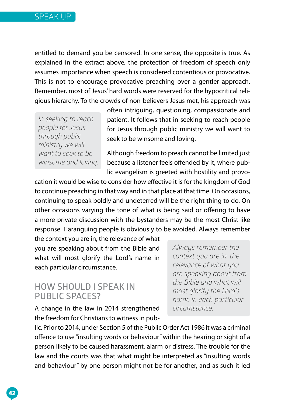entitled to demand you be censored. In one sense, the opposite is true. As explained in the extract above, the protection of freedom of speech only assumes importance when speech is considered contentious or provocative. This is not to encourage provocative preaching over a gentler approach. Remember, most of Jesus' hard words were reserved for the hypocritical religious hierarchy. To the crowds of non-believers Jesus met, his approach was

*In seeking to reach people for Jesus through public ministry we will want to seek to be winsome and loving.* often intriguing, questioning, compassionate and patient. It follows that in seeking to reach people for Jesus through public ministry we will want to seek to be winsome and loving.

Although freedom to preach cannot be limited just because a listener feels offended by it, where public evangelism is greeted with hostility and provo-

cation it would be wise to consider how effective it is for the kingdom of God to continue preaching in that way and in that place at that time. On occasions, continuing to speak boldly and undeterred will be the right thing to do. On other occasions varying the tone of what is being said or offering to have a more private discussion with the bystanders may be the most Christ-like response. Haranguing people is obviously to be avoided. Always remember

the context you are in, the relevance of what you are speaking about from the Bible and what will most glorify the Lord's name in each particular circumstance.

#### **HOW SHOULD I SPEAK IN PUBLIC SPACES?**

A change in the law in 2014 strengthened the freedom for Christians to witness in pub*Always remember the context you are in, the relevance of what you are speaking about from the Bible and what will most glorify the Lord's name in each particular circumstance.* 

lic. Prior to 2014, under Section 5 of the Public Order Act 1986 it was a criminal offence to use "insulting words or behaviour" within the hearing or sight of a person likely to be caused harassment, alarm or distress. The trouble for the law and the courts was that what might be interpreted as "insulting words and behaviour" by one person might not be for another, and as such it led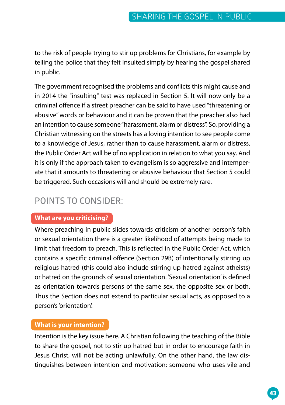to the risk of people trying to stir up problems for Christians, for example by telling the police that they felt insulted simply by hearing the gospel shared in public.

The government recognised the problems and conflicts this might cause and in 2014 the "insulting" test was replaced in Section 5. It will now only be a criminal offence if a street preacher can be said to have used "threatening or abusive" words or behaviour and it can be proven that the preacher also had an intention to cause someone "harassment, alarm or distress". So, providing a Christian witnessing on the streets has a loving intention to see people come to a knowledge of Jesus, rather than to cause harassment, alarm or distress, the Public Order Act will be of no application in relation to what you say. And it is only if the approach taken to evangelism is so aggressive and intemperate that it amounts to threatening or abusive behaviour that Section 5 could be triggered. Such occasions will and should be extremely rare.

## **POINTS TO CONSIDER:**

#### **What are you criticising?**

Where preaching in public slides towards criticism of another person's faith or sexual orientation there is a greater likelihood of attempts being made to limit that freedom to preach. This is reflected in the Public Order Act, which contains a specific criminal offence (Section 29B) of intentionally stirring up religious hatred (this could also include stirring up hatred against atheists) or hatred on the grounds of sexual orientation. 'Sexual orientation' is defined as orientation towards persons of the same sex, the opposite sex or both. Thus the Section does not extend to particular sexual acts, as opposed to a person's 'orientation'.

#### **What is your intention?**

Intention is the key issue here. A Christian following the teaching of the Bible to share the gospel, not to stir up hatred but in order to encourage faith in Jesus Christ, will not be acting unlawfully. On the other hand, the law distinguishes between intention and motivation: someone who uses vile and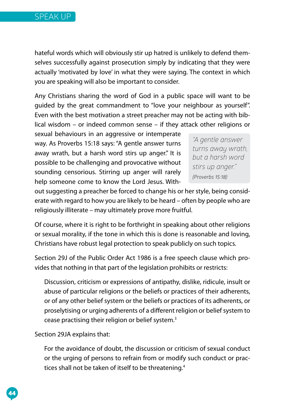hateful words which will obviously stir up hatred is unlikely to defend themselves successfully against prosecution simply by indicating that they were actually 'motivated by love' in what they were saying. The context in which you are speaking will also be important to consider.

Any Christians sharing the word of God in a public space will want to be guided by the great commandment to "love your neighbour as yourself". Even with the best motivation a street preacher may not be acting with biblical wisdom – or indeed common sense – if they attack other religions or

sexual behaviours in an aggressive or intemperate way. As Proverbs 15:18 says: "A gentle answer turns away wrath, but a harsh word stirs up anger." It is possible to be challenging and provocative without sounding censorious. Stirring up anger will rarely help someone come to know the Lord Jesus. With-

*"A gentle answer turns away wrath, but a harsh word stirs up anger." (Proverbs 15:18)*

out suggesting a preacher be forced to change his or her style, being considerate with regard to how you are likely to be heard – often by people who are religiously illiterate – may ultimately prove more fruitful.

Of course, where it is right to be forthright in speaking about other religions or sexual morality, if the tone in which this is done is reasonable and loving, Christians have robust legal protection to speak publicly on such topics.

Section 29J of the Public Order Act 1986 is a free speech clause which provides that nothing in that part of the legislation prohibits or restricts:

Discussion, criticism or expressions of antipathy, dislike, ridicule, insult or abuse of particular religions or the beliefs or practices of their adherents, or of any other belief system or the beliefs or practices of its adherents, or proselytising or urging adherents of a different religion or belief system to cease practising their religion or belief system.3

Section 29JA explains that:

For the avoidance of doubt, the discussion or criticism of sexual conduct or the urging of persons to refrain from or modify such conduct or practices shall not be taken of itself to be threatening.<sup>4</sup>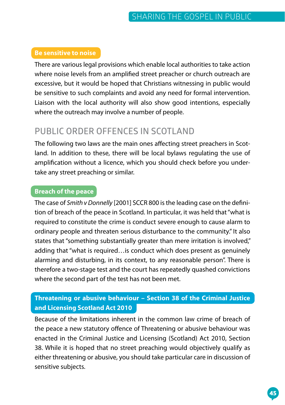#### **Be sensitive to noise**

There are various legal provisions which enable local authorities to take action where noise levels from an amplified street preacher or church outreach are excessive, but it would be hoped that Christians witnessing in public would be sensitive to such complaints and avoid any need for formal intervention. Liaison with the local authority will also show good intentions, especially where the outreach may involve a number of people.

#### **PUBLIC ORDER OFFENCES IN SCOTLAND**

The following two laws are the main ones affecting street preachers in Scotland. In addition to these, there will be local bylaws regulating the use of amplification without a licence, which you should check before you undertake any street preaching or similar.

#### **Breach of the peace**

The case of *Smith v Donnelly* [2001] SCCR 800 is the leading case on the definition of breach of the peace in Scotland. In particular, it was held that "what is required to constitute the crime is conduct severe enough to cause alarm to ordinary people and threaten serious disturbance to the community." It also states that "something substantially greater than mere irritation is involved," adding that "what is required... is conduct which does present as genuinely alarming and disturbing, in its context, to any reasonable person". There is therefore a two-stage test and the court has repeatedly quashed convictions where the second part of the test has not been met.

#### **Threatening or abusive behaviour – Section 38 of the Criminal Justice and Licensing Scotland Act 2010**

Because of the limitations inherent in the common law crime of breach of the peace a new statutory offence of Threatening or abusive behaviour was enacted in the Criminal Justice and Licensing (Scotland) Act 2010, Section 38. While it is hoped that no street preaching would objectively qualify as either threatening or abusive, you should take particular care in discussion of sensitive subjects.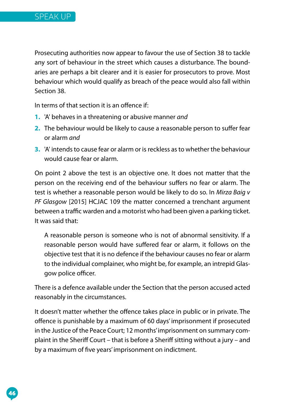Prosecuting authorities now appear to favour the use of Section 38 to tackle any sort of behaviour in the street which causes a disturbance. The boundaries are perhaps a bit clearer and it is easier for prosecutors to prove. Most behaviour which would qualify as breach of the peace would also fall within Section 38.

In terms of that section it is an offence if:

- **1.** 'A' behaves in a threatening or abusive manner *and*
- **2.** The behaviour would be likely to cause a reasonable person to suffer fear or alarm *and*
- **3.** 'A' intends to cause fear or alarm or is reckless as to whether the behaviour would cause fear or alarm.

On point 2 above the test is an objective one. It does not matter that the person on the receiving end of the behaviour suffers no fear or alarm. The test is whether a reasonable person would be likely to do so. In *Mirza Baig v PF Glasgow* [2015] HCJAC 109 the matter concerned a trenchant argument between a traffic warden and a motorist who had been given a parking ticket. It was said that:

A reasonable person is someone who is not of abnormal sensitivity. If a reasonable person would have suffered fear or alarm, it follows on the objective test that it is no defence if the behaviour causes no fear or alarm to the individual complainer, who might be, for example, an intrepid Glasgow police officer.

There is a defence available under the Section that the person accused acted reasonably in the circumstances.

It doesn't matter whether the offence takes place in public or in private. The offence is punishable by a maximum of 60 days' imprisonment if prosecuted in the Justice of the Peace Court; 12 months' imprisonment on summary complaint in the Sheriff Court – that is before a Sheriff sitting without a jury – and by a maximum of five years' imprisonment on indictment.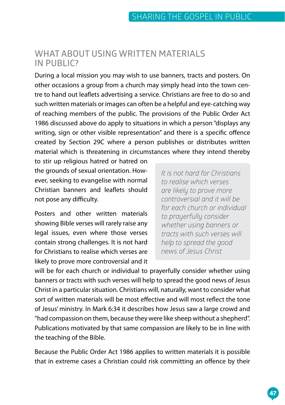#### **WHAT ABOUT USING WRITTEN MATERIALS IN PUBLIC?**

During a local mission you may wish to use banners, tracts and posters. On other occasions a group from a church may simply head into the town centre to hand out leaflets advertising a service. Christians are free to do so and such written materials or images can often be a helpful and eye-catching way of reaching members of the public. The provisions of the Public Order Act 1986 discussed above do apply to situations in which a person "displays any writing, sign or other visible representation" and there is a specific offence created by Section 29C where a person publishes or distributes written material which is threatening in circumstances where they intend thereby

to stir up religious hatred or hatred on the grounds of sexual orientation. However, seeking to evangelise with normal Christian banners and leaflets should not pose any difficulty.

Posters and other written materials showing Bible verses will rarely raise any legal issues, even where those verses contain strong challenges. It is not hard for Christians to realise which verses are likely to prove more controversial and it *It is not hard for Christians to realise which verses are likely to prove more controversial and it will be for each church or individual to prayerfully consider whether using banners or tracts with such verses will help to spread the good news of Jesus Christ.* 

will be for each church or individual to prayerfully consider whether using banners or tracts with such verses will help to spread the good news of Jesus Christ in a particular situation. Christians will, naturally, want to consider what sort of written materials will be most effective and will most reflect the tone of Jesus' ministry. In Mark 6:34 it describes how Jesus saw a large crowd and "had compassion on them, because they were like sheep without a shepherd". Publications motivated by that same compassion are likely to be in line with the teaching of the Bible.

Because the Public Order Act 1986 applies to written materials it is possible that in extreme cases a Christian could risk committing an offence by their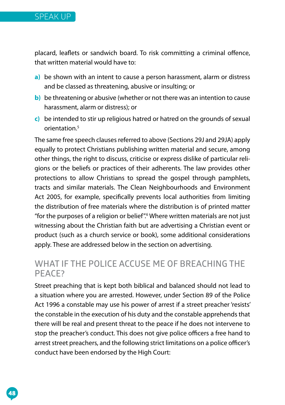

placard, leaflets or sandwich board. To risk committing a criminal offence, that written material would have to:

- **a)** be shown with an intent to cause a person harassment, alarm or distress and be classed as threatening, abusive or insulting; or
- **b)** be threatening or abusive (whether or not there was an intention to cause harassment, alarm or distress); or
- **c)** be intended to stir up religious hatred or hatred on the grounds of sexual orientation<sup>5</sup>

The same free speech clauses referred to above (Sections 29J and 29JA) apply equally to protect Christians publishing written material and secure, among other things, the right to discuss, criticise or express dislike of particular religions or the beliefs or practices of their adherents. The law provides other protections to allow Christians to spread the gospel through pamphlets, tracts and similar materials. The Clean Neighbourhoods and Environment Act 2005, for example, specifically prevents local authorities from limiting the distribution of free materials where the distribution is of printed matter "for the purposes of a religion or belief".6 Where written materials are not just witnessing about the Christian faith but are advertising a Christian event or product (such as a church service or book), some additional considerations apply. These are addressed below in the section on advertising.

#### **WHAT IF THE POLICE ACCUSE ME OF BREACHING THE PEACE?**

Street preaching that is kept both biblical and balanced should not lead to a situation where you are arrested. However, under Section 89 of the Police Act 1996 a constable may use his power of arrest if a street preacher 'resists' the constable in the execution of his duty and the constable apprehends that there will be real and present threat to the peace if he does not intervene to stop the preacher's conduct. This does not give police officers a free hand to arrest street preachers, and the following strict limitations on a police officer's conduct have been endorsed by the High Court: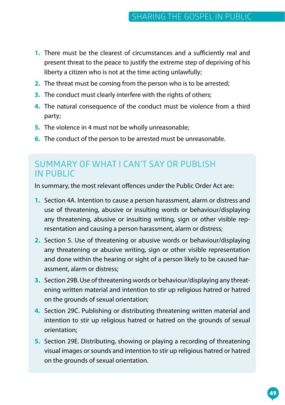- **1.** There must be the clearest of circumstances and a sufficiently real and present threat to the peace to justify the extreme step of depriving of his liberty a citizen who is not at the time acting unlawfully;
- **2.** The threat must be coming from the person who is to be arrested;
- **3.** The conduct must clearly interfere with the rights of others;
- **4.** The natural consequence of the conduct must be violence from a third party;
- **5.** The violence in 4 must not be wholly unreasonable;
- **6.** The conduct of the person to be arrested must be unreasonable.

#### **SUMMARY OF WHAT I CAN'T SAY OR PUBLISH IN PUBLIC**

In summary, the most relevant offences under the Public Order Act are:

- **1.** Section 4A. Intention to cause a person harassment, alarm or distress and use of threatening, abusive or insulting words or behaviour/displaying any threatening, abusive or insulting writing, sign or other visible representation and causing a person harassment, alarm or distress;
- **2.** Section 5. Use of threatening or abusive words or behaviour/displaying any threatening or abusive writing, sign or other visible representation and done within the hearing or sight of a person likely to be caused harassment, alarm or distress;
- **3.** Section 29B. Use of threatening words or behaviour/displaying any threatening written material and intention to stir up religious hatred or hatred on the grounds of sexual orientation;
- **4.** Section 29C. Publishing or distributing threatening written material and intention to stir up religious hatred or hatred on the grounds of sexual orientation;
- **5.** Section 29E. Distributing, showing or playing a recording of threatening visual images or sounds and intention to stir up religious hatred or hatred on the grounds of sexual orientation.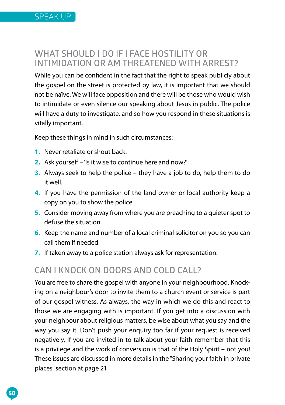#### **WHAT SHOULD I DO IF I FACE HOSTILITY OR INTIMIDATION OR AM THREATENED WITH ARREST?**

While you can be confident in the fact that the right to speak publicly about the gospel on the street is protected by law, it is important that we should not be naïve. We will face opposition and there will be those who would wish to intimidate or even silence our speaking about Jesus in public. The police will have a duty to investigate, and so how you respond in these situations is vitally important.

Keep these things in mind in such circumstances:

- **1.** Never retaliate or shout back.
- **2.** Ask yourself 'Is it wise to continue here and now?'
- **3.** Always seek to help the police they have a job to do, help them to do it well.
- **4.** If you have the permission of the land owner or local authority keep a copy on you to show the police.
- **5.** Consider moving away from where you are preaching to a quieter spot to defuse the situation.
- **6.** Keep the name and number of a local criminal solicitor on you so you can call them if needed.
- **7.** If taken away to a police station always ask for representation.

#### **CAN I KNOCK ON DOORS AND COLD CALL?**

You are free to share the gospel with anyone in your neighbourhood. Knocking on a neighbour's door to invite them to a church event or service is part of our gospel witness. As always, the way in which we do this and react to those we are engaging with is important. If you get into a discussion with your neighbour about religious matters, be wise about what you say and the way you say it. Don't push your enquiry too far if your request is received negatively. If you are invited in to talk about your faith remember that this is a privilege and the work of conversion is that of the Holy Spirit – not you! These issues are discussed in more details in the "Sharing your faith in private places" section at page 21.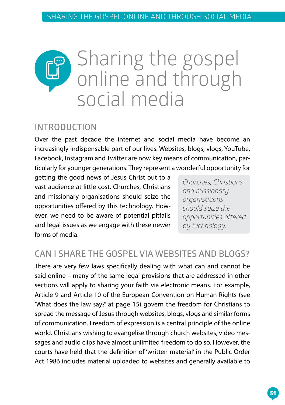## Sharing the gospel online and through social media

#### **INTRODUCTION**

Over the past decade the internet and social media have become an increasingly indispensable part of our lives. Websites, blogs, vlogs, YouTube, Facebook, Instagram and Twitter are now key means of communication, particularly for younger generations. They represent a wonderful opportunity for

getting the good news of Jesus Christ out to a vast audience at little cost. Churches, Christians and missionary organisations should seize the opportunities offered by this technology. However, we need to be aware of potential pitfalls and legal issues as we engage with these newer forms of media.

*Churches, Christians and missionary organisations should seize the opportunities offered by technology.*

### **CAN I SHARE THE GOSPEL VIA WEBSITES AND BLOGS?**

There are very few laws specifically dealing with what can and cannot be said online – many of the same legal provisions that are addressed in other sections will apply to sharing your faith via electronic means. For example, Article 9 and Article 10 of the European Convention on Human Rights (see 'What does the law say?' at page 15) govern the freedom for Christians to spread the message of Jesus through websites, blogs, vlogs and similar forms of communication. Freedom of expression is a central principle of the online world. Christians wishing to evangelise through church websites, video messages and audio clips have almost unlimited freedom to do so. However, the courts have held that the definition of 'written material' in the Public Order Act 1986 includes material uploaded to websites and generally available to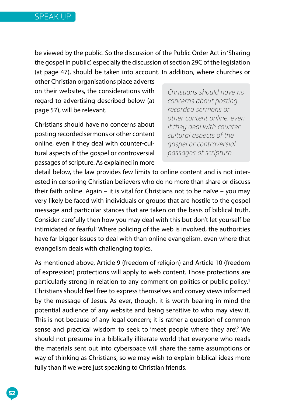be viewed by the public. So the discussion of the Public Order Act in 'Sharing the gospel in public', especially the discussion of section 29C of the legislation (at page 47), should be taken into account. In addition, where churches or

other Christian organisations place adverts on their websites, the considerations with regard to advertising described below (at page 57), will be relevant.

Christians should have no concerns about posting recorded sermons or other content online, even if they deal with counter-cultural aspects of the gospel or controversial passages of scripture. As explained in more

*Christians should have no concerns about posting recorded sermons or other content online, even if they deal with countercultural aspects of the gospel or controversial passages of scripture.* 

detail below, the law provides few limits to online content and is not interested in censoring Christian believers who do no more than share or discuss their faith online. Again – it is vital for Christians not to be naïve – you may very likely be faced with individuals or groups that are hostile to the gospel message and particular stances that are taken on the basis of biblical truth. Consider carefully then how you may deal with this but don't let yourself be intimidated or fearful! Where policing of the web is involved, the authorities have far bigger issues to deal with than online evangelism, even where that evangelism deals with challenging topics.

As mentioned above, Article 9 (freedom of religion) and Article 10 (freedom of expression) protections will apply to web content. Those protections are particularly strong in relation to any comment on politics or public policy.<sup>1</sup> Christians should feel free to express themselves and convey views informed by the message of Jesus. As ever, though, it is worth bearing in mind the potential audience of any website and being sensitive to who may view it. This is not because of any legal concern; it is rather a question of common sense and practical wisdom to seek to 'meet people where they are'.<sup>2</sup> We should not presume in a biblically illiterate world that everyone who reads the materials sent out into cyberspace will share the same assumptions or way of thinking as Christians, so we may wish to explain biblical ideas more fully than if we were just speaking to Christian friends.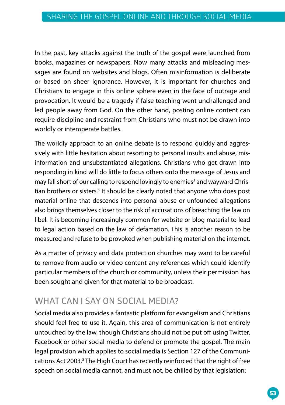In the past, key attacks against the truth of the gospel were launched from books, magazines or newspapers. Now many attacks and misleading messages are found on websites and blogs. Often misinformation is deliberate or based on sheer ignorance. However, it is important for churches and Christians to engage in this online sphere even in the face of outrage and provocation. It would be a tragedy if false teaching went unchallenged and led people away from God. On the other hand, posting online content can require discipline and restraint from Christians who must not be drawn into worldly or intemperate battles.

The worldly approach to an online debate is to respond quickly and aggressively with little hesitation about resorting to personal insults and abuse, misinformation and unsubstantiated allegations. Christians who get drawn into responding in kind will do little to focus others onto the message of Jesus and may fall short of our calling to respond lovingly to enemies<sup>3</sup> and wayward Christian brothers or sisters.<sup>4</sup> It should be clearly noted that anyone who does post material online that descends into personal abuse or unfounded allegations also brings themselves closer to the risk of accusations of breaching the law on libel. It is becoming increasingly common for website or blog material to lead to legal action based on the law of defamation. This is another reason to be measured and refuse to be provoked when publishing material on the internet.

As a matter of privacy and data protection churches may want to be careful to remove from audio or video content any references which could identify particular members of the church or community, unless their permission has been sought and given for that material to be broadcast.

### **WHAT CAN I SAY ON SOCIAL MEDIA?**

Social media also provides a fantastic platform for evangelism and Christians should feel free to use it. Again, this area of communication is not entirely untouched by the law, though Christians should not be put off using Twitter, Facebook or other social media to defend or promote the gospel. The main legal provision which applies to social media is Section 127 of the Communications Act 2003.<sup>5</sup> The High Court has recently reinforced that the right of free speech on social media cannot, and must not, be chilled by that legislation: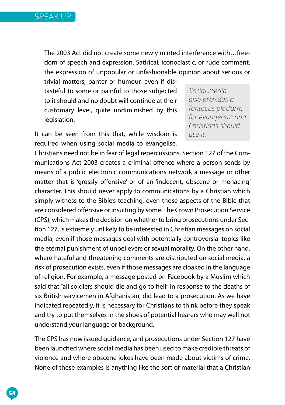

The 2003 Act did not create some newly minted interference with…freedom of speech and expression. Satirical, iconoclastic, or rude comment, the expression of unpopular or unfashionable opinion about serious or

trivial matters, banter or humour, even if distasteful to some or painful to those subjected to it should and no doubt will continue at their customary level, quite undiminished by this legislation.

*Social media also provides a fantastic platform for evangelism and Christians should use it.* 

It can be seen from this that, while wisdom is required when using social media to evangelise,

Christians need not be in fear of legal repercussions. Section 127 of the Communications Act 2003 creates a criminal offence where a person sends by means of a public electronic communications network a message or other matter that is 'grossly offensive' or of an 'indecent, obscene or menacing' character. This should never apply to communications by a Christian which simply witness to the Bible's teaching, even those aspects of the Bible that are considered offensive or insulting by some. The Crown Prosecution Service (CPS), which makes the decision on whether to bring prosecutions under Section 127, is extremely unlikely to be interested in Christian messages on social media, even if those messages deal with potentially controversial topics like the eternal punishment of unbelievers or sexual morality. On the other hand, where hateful and threatening comments are distributed on social media, a risk of prosecution exists, even if those messages are cloaked in the language of religion. For example, a message posted on Facebook by a Muslim which said that "all soldiers should die and go to hell" in response to the deaths of six British servicemen in Afghanistan, did lead to a prosecution. As we have indicated repeatedly, it is necessary for Christians to think before they speak and try to put themselves in the shoes of potential hearers who may well not understand your language or background.

The CPS has now issued guidance, and prosecutions under Section 127 have been launched where social media has been used to make credible threats of violence and where obscene jokes have been made about victims of crime. None of these examples is anything like the sort of material that a Christian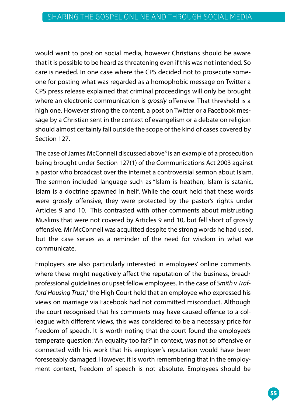would want to post on social media, however Christians should be aware that it is possible to be heard as threatening even if this was not intended. So care is needed. In one case where the CPS decided not to prosecute someone for posting what was regarded as a homophobic message on Twitter a CPS press release explained that criminal proceedings will only be brought where an electronic communication is *grossly* offensive. That threshold is a high one. However strong the content, a post on Twitter or a Facebook message by a Christian sent in the context of evangelism or a debate on religion should almost certainly fall outside the scope of the kind of cases covered by should almost certainly fall outside the scope of the kind of cases covered Section 127.

The case of James McConnell discussed above<sup>6</sup> is an example of a prosecution being brought under Section 127(1) of the Communications Act 2003 against a pastor who broadcast over the internet a controversial sermon about Islam. The sermon included language such as "Islam is heathen, Islam is satanic, Islam is a doctrine spawned in hell". While the court held that these words were grossly offensive, they were protected by the pastor's rights under Articles 9 and 10. This contrasted with other comments about mistrusting Muslims that were not covered by Articles 9 and 10, but fell short of grossly offensive. Mr McConnell was acquitted despite the strong words he had used, employers are also particularly interested in employers in employers' only in the comments of the comments of where the reputation of the reputation of the business, breaches the business, breaches  $\mathcal{L}$ but the case serves as a reminder of the need for wisdom in what we communicate.

Employers are also particularly interested in employees' online comments where these might negatively affect the reputation of the business, breach professional guidelines or upset fellow employees. In the case of *Smith v Traf*ford Housing Trust,<sup>7</sup> the High Court held that an employee who expressed his views on marriage via Facebook had not committed misconduct. Although the court recognised that his comments may have caused offence to a colleaque with different views, this was considered to be a necessary price for freedom of speech. It is worth noting that the court found the employee's temperate question: 'An equality too far?' in context, was not so offensive or connected with his work that his employer's reputation would have been foreseeably damaged. However, it is worth remembering that in the employment context, freedom of speech is not absolute. Employees should be would want to post on social media however Christians should be aware<br>on that its possible to be heard as threatening even if this was not intended. So<br>care is needed. In one case where the CPS decided not to prosecute som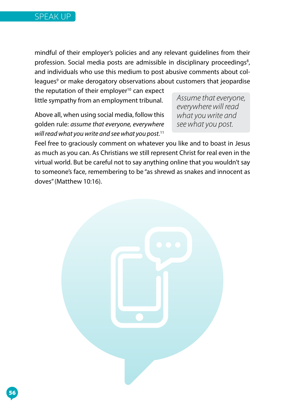

mindful of their employer's policies and any relevant guidelines from their profession. Social media posts are admissible in disciplinary proceedings<sup>8</sup>, and individuals who use this medium to post abusive comments about colleagues<sup>9</sup> or make derogatory observations about customers that jeopardise

Above all, when using social media, follow this social media, follows the social media, follows the social media, follows the social media, and the social media, and the social media, and the social media, and the social m little sympathy from an employment tribunal.<br>. the reputation of their employer $10$  can expect

Above all, when using social media, follow this golden rule: *assume that everyone, everywhere <sup>see what you post.* That in J</sup> as much as you can. As Christians we still represent Christ for real even in the *willread what you write and see what you post.*<sup>11</sup>

*what you write and Assume that everyone, see what you post. everywherewill read what youwrite and seewhat you post.*

Feel free to graciously comment on whatever you like and to boast in Jesus as much as you can. As Christians we still represent Christ for real even in the Feel free to graciously comment on whatever you like and to boast in Jesus<br>as much as you can. As Christians we still represent Christ for real even in the<br>virtual world. But be careful not to say anything online that you to someone's face, remembering to be "as shrewd as snakes and innocent as doves" (Matthew 10:16).

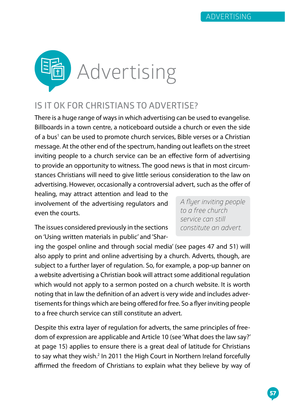

#### **IS IT OK FOR CHRISTIANS TO ADVERTISE?**

There is a huge range of ways in which advertising can be used to evangelise. Billboards in a town centre, a noticeboard outside a church or even the side of a bus<sup>1</sup> can be used to promote church services, Bible verses or a Christian message. At the other end of the spectrum, handing out leaflets on the street inviting people to a church service can be an effective form of advertising to provide an opportunity to witness. The good news is that in most circumstances Christians will need to give little serious consideration to the law on advertising. However, occasionally a controversial advert, such as the offer of

healing, may attract attention and lead to the involvement of the advertising regulators and even the courts.

*A flyer inviting people to a free church service can still constitute an advert.*

The issues considered previously in the sections on 'Using written materials in public' and 'Shar-

ing the gospel online and through social media' (see pages 47 and 51) will also apply to print and online advertising by a church. Adverts, though, are subject to a further layer of regulation. So, for example, a pop-up banner on a website advertising a Christian book will attract some additional regulation which would not apply to a sermon posted on a church website. It is worth noting that in law the definition of an advert is very wide and includes advertisements for things which are being offered for free. So a flyer inviting people to a free church service can still constitute an advert.

Despite this extra layer of regulation for adverts, the same principles of freedom of expression are applicable and Article 10 (see 'What does the law say?' at page 15) applies to ensure there is a great deal of latitude for Christians to say what they wish.<sup>2</sup> In 2011 the High Court in Northern Ireland forcefully affirmed the freedom of Christians to explain what they believe by way of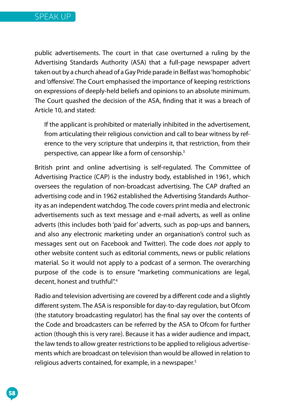

public advertisements. The court in that case overturned a ruling by the Advertising Standards Authority (ASA) that a full-page newspaper advert taken out by a church ahead of a Gay Pride parade in Belfast was 'homophobic' and 'offensive'. The Court emphasised the importance of keeping restrictions on expressions of deeply-held beliefs and opinions to an absolute minimum. The Court quashed the decision of the ASA, finding that it was a breach of Article 10, and stated:

If the applicant is prohibited or materially inhibited in the advertisement, from articulating their religious conviction and call to bear witness by reference to the very scripture that underpins it, that restriction, from their perspective, can appear like a form of censorship.3

British print and online advertising is self-regulated. The Committee of Advertising Practice (CAP) is the industry body, established in 1961, which oversees the regulation of non-broadcast advertising. The CAP drafted an advertising code and in 1962 established the Advertising Standards Authority as an independent watchdog. The code covers print media and electronic advertisements such as text message and e-mail adverts, as well as online adverts (this includes both 'paid for' adverts, such as pop-ups and banners, and also any electronic marketing under an organisation's control such as messages sent out on Facebook and Twitter). The code does *not* apply to other website content such as editorial comments, news or public relations material. So it would not apply to a podcast of a sermon. The overarching purpose of the code is to ensure "marketing communications are legal, decent, honest and truthful".4

Radio and television advertising are covered by a different code and a slightly different system. The ASA is responsible for day-to-day regulation, but Ofcom (the statutory broadcasting regulator) has the final say over the contents of the Code and broadcasters can be referred by the ASA to Ofcom for further action (though this is very rare). Because it has a wider audience and impact, the law tends to allow greater restrictions to be applied to religious advertisements which are broadcast on television than would be allowed in relation to religious adverts contained, for example, in a newspaper.<sup>5</sup>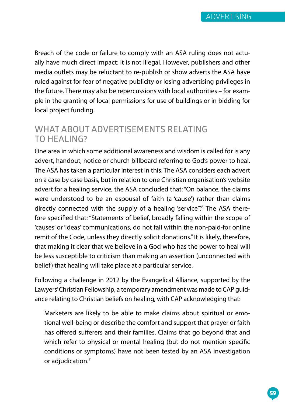Breach of the code or failure to comply with an ASA ruling does not actually have much direct impact: it is not illegal. However, publishers and other media outlets may be reluctant to re-publish or show adverts the ASA have ruled against for fear of negative publicity or losing advertising privileges in the future. There may also be repercussions with local authorities – for example in the granting of local permissions for use of buildings or in bidding for local project funding.

#### **WHAT ABOUT ADVERTISEMENTS RELATING TO HEALING?**

One area in which some additional awareness and wisdom is called for is any advert, handout, notice or church billboard referring to God's power to heal. The ASA has taken a particular interest in this. The ASA considers each advert on a case by case basis, but in relation to one Christian organisation's website advert for a healing service, the ASA concluded that: "On balance, the claims were understood to be an espousal of faith (a 'cause') rather than claims directly connected with the supply of a healing 'service".<sup>6</sup> The ASA therefore specified that: "Statements of belief, broadly falling within the scope of 'causes' or 'ideas' communications, do not fall within the non-paid-for online remit of the Code, unless they directly solicit donations." It is likely, therefore, that making it clear that we believe in a God who has the power to heal will be less susceptible to criticism than making an assertion (unconnected with belief) that healing will take place at a particular service.

Following a challenge in 2012 by the Evangelical Alliance, supported by the Lawyers' Christian Fellowship, a temporary amendment was made to CAP guidance relating to Christian beliefs on healing, with CAP acknowledging that:

Marketers are likely to be able to make claims about spiritual or emotional well-being or describe the comfort and support that prayer or faith has offered sufferers and their families. Claims that go beyond that and which refer to physical or mental healing (but do not mention specific conditions or symptoms) have not been tested by an ASA investigation or adjudication.<sup>7</sup>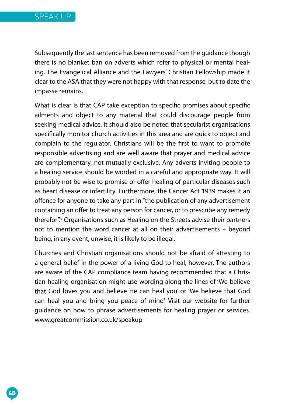Subsequently the last sentence has been removed from the quidance though there is no blanket ban on adverts which refer to physical or mental healing. The Evangelical Alliance and the Lawyers' Christian Fellowship made it clear to the ASA that they were not happy with that response, but to date the impasse remains.

What is clear is that CAP take exception to specific promises about specific ailments and object to any material that could discourage people from seeking medical advice. It should also be noted that secularist organisations specifically monitor church activities in this area and are quick to object and complain to the regulator. Christians will be the first to want to promote responsible advertising and are well aware that prayer and medical advice are complementary, not mutually exclusive. Any adverts inviting people to a healing service should be worded in a careful and appropriate way. It will probably not be wise to promise or offer healing of particular diseases such as heart disease or infertility. Furthermore, the Cancer Act 1939 makes it an offence for anyone to take any part in "the publication of any advertisement containing an offer to treat any person for cancer, or to prescribe any remedy therefor".8 Organisations such as Healing on the Streets advise their partners not to mention the word cancer at all on their advertisements – beyond being, in any event, unwise, it is likely to be illegal.

Churches and Christian organisations should not be afraid of attesting to a general belief in the power of a living God to heal, however. The authors are aware of the CAP compliance team having recommended that a Christian healing organisation might use wording along the lines of 'We believe that God loves you and believe He can heal you' or 'We believe that God can heal you and bring you peace of mind'. Visit our website for further guidance on how to phrase advertisements for healing prayer or services. [www.greatcommission.co.uk/speakup](http://www.greatcommission.co.uk/speakup)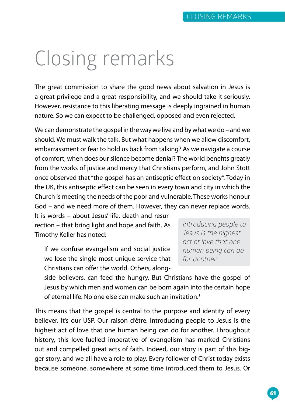# Closing remarks

The great commission to share the good news about salvation in Jesus is a great privilege and a great responsibility, and we should take it seriously. However, resistance to this liberating message is deeply ingrained in human nature. So we can expect to be challenged, opposed and even rejected.

We can demonstrate the gospel in the way we live and by what we do – and we should. We must walk the talk. But what happens when we allow discomfort, embarrassment or fear to hold us back from talking? As we navigate a course of comfort, when does our silence become denial? The world benefits greatly from the works of justice and mercy that Christians perform, and John Stott once observed that "the gospel has an antiseptic effect on society". Today in the UK, this antiseptic effect can be seen in every town and city in which the Church is meeting the needs of the poor and vulnerable. These works honour God – and we need more of them. However, they can never replace words.

It is words – about Jesus' life, death and resurrection – that bring light and hope and faith. As Timothy Keller has noted:

If we confuse evangelism and social justice we lose the single most unique service that Christians can offer the world. Others, along*Introducing people to Jesus is the highest act of love that one human being can do for another.* 

side believers, can feed the hungry. But Christians have the gospel of Jesus by which men and women can be born again into the certain hope of eternal life. No one else can make such an invitation.1

This means that the gospel is central to the purpose and identity of every believer. It's our USP. Our raison d'être. Introducing people to Jesus is the highest act of love that one human being can do for another. Throughout history, this love-fuelled imperative of evangelism has marked Christians out and compelled great acts of faith. Indeed, our story is part of this bigger story, and we all have a role to play. Every follower of Christ today exists because someone, somewhere at some time introduced them to Jesus. Or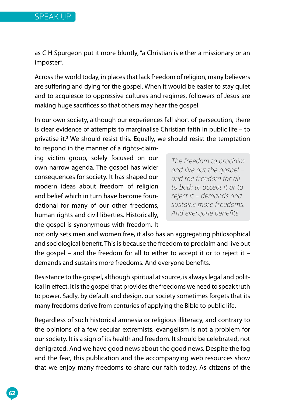as C H Spurgeon put it more bluntly, "a Christian is either a missionary or an imposter".

Across the world today, in places that lack freedom of religion, many believers are suffering and dying for the gospel. When it would be easier to stay quiet and to acquiesce to oppressive cultures and regimes, followers of Jesus are making huge sacrifices so that others may hear the gospel.

In our own society, although our experiences fall short of persecution, there is clear evidence of attempts to marginalise Christian faith in public life – to privatise it.<sup>2</sup> We should resist this. Equally, we should resist the temptation to respond in the manner of a rights-claim-

ing victim group, solely focused on our own narrow agenda. The gospel has wider consequences for society. It has shaped our modern ideas about freedom of religion and belief which in turn have become foundational for many of our other freedoms, human rights and civil liberties. Historically, the gospel is synonymous with freedom. It

*The freedom to proclaim and live out the gospel – and the freedom for all to both to accept it or to reject it – demands and sustains more freedoms. And everyone benefits.* 

not only sets men and women free, it also has an aggregating philosophical and sociological benefit. This is because the freedom to proclaim and live out the gospel – and the freedom for all to either to accept it or to reject it – demands and sustains more freedoms. And everyone benefits.

Resistance to the gospel, although spiritual at source, is always legal and political in effect. It is the gospel that provides the freedoms we need to speak truth to power. Sadly, by default and design, our society sometimes forgets that its many freedoms derive from centuries of applying the Bible to public life.

Regardless of such historical amnesia or religious illiteracy, and contrary to the opinions of a few secular extremists, evangelism is not a problem for our society. It is a sign of its health and freedom. It should be celebrated, not denigrated. And we have good news about the good news. Despite the fog and the fear, this publication and the accompanying web resources show that we enjoy many freedoms to share our faith today. As citizens of the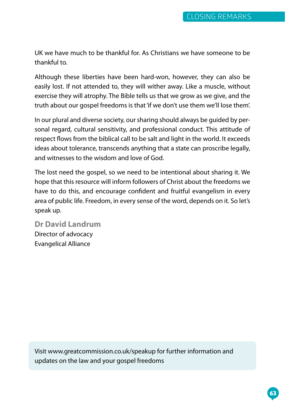UK we have much to be thankful for. As Christians we have someone to be thankful to.

Although these liberties have been hard-won, however, they can also be easily lost. If not attended to, they will wither away. Like a muscle, without exercise they will atrophy. The Bible tells us that we grow as we give, and the truth about our gospel freedoms is that 'if we don't use them we'll lose them'.

In our plural and diverse society, our sharing should always be guided by personal regard, cultural sensitivity, and professional conduct. This attitude of respect flows from the biblical call to be salt and light in the world. It exceeds ideas about tolerance, transcends anything that a state can proscribe legally, and witnesses to the wisdom and love of God.

The lost need the gospel, so we need to be intentional about sharing it. We hope that this resource will inform followers of Christ about the freedoms we have to do this, and encourage confident and fruitful evangelism in every area of public life. Freedom, in every sense of the word, depends on it. So let's speak up.

**Dr David Landrum** Director of advocacy Evangelical Alliance

Visit [www.greatcommission.co.uk/speakup](http://www.greatcommission.co.uk/speakup) for further information and updates on the law and your gospel freedoms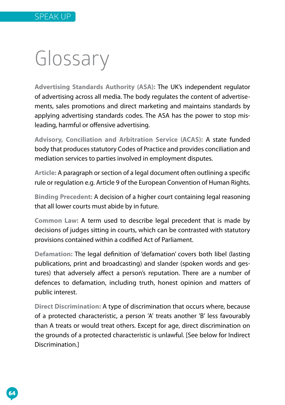# Glossary

**Advertising Standards Authority (ASA):** The UK's independent regulator of advertising across all media. The body regulates the content of advertisements, sales promotions and direct marketing and maintains standards by applying advertising standards codes. The ASA has the power to stop misleading, harmful or offensive advertising.

**Advisory, Conciliation and Arbitration Service (ACAS):** A state funded body that produces statutory Codes of Practice and provides conciliation and mediation services to parties involved in employment disputes.

**Article:** A paragraph or section of a legal document often outlining a specific rule or regulation e.g. Article 9 of the European Convention of Human Rights.

**Binding Precedent:** A decision of a higher court containing legal reasoning that all lower courts must abide by in future.

**Common Law:** A term used to describe legal precedent that is made by decisions of judges sitting in courts, which can be contrasted with statutory provisions contained within a codified Act of Parliament.

**Defamation:** The legal definition of 'defamation' covers both libel (lasting publications, print and broadcasting) and slander (spoken words and gestures) that adversely affect a person's reputation. There are a number of defences to defamation, including truth, honest opinion and matters of public interest.

**Direct Discrimination:** A type of discrimination that occurs where, because of a protected characteristic, a person 'A' treats another 'B' less favourably than A treats or would treat others. Except for age, direct discrimination on the grounds of a protected characteristic is unlawful. [See below for Indirect Discrimination.]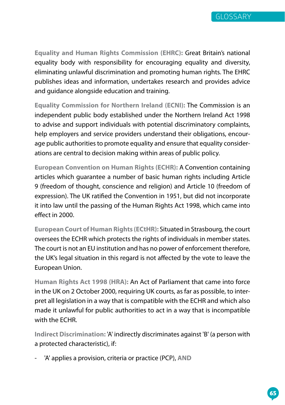

**Equality and Human Rights Commission (EHRC):** Great Britain's national equality body with responsibility for encouraging equality and diversity, eliminating unlawful discrimination and promoting human rights. The EHRC publishes ideas and information, undertakes research and provides advice and guidance alongside education and training.

**Equality Commission for Northern Ireland (ECNI):** The Commission is an independent public body established under the Northern Ireland Act 1998 to advise and support individuals with potential discriminatory complaints, help employers and service providers understand their obligations, encourage public authorities to promote equality and ensure that equality considerations are central to decision making within areas of public policy.

**European Convention on Human Rights (ECHR):** A Convention containing articles which guarantee a number of basic human rights including Article 9 (freedom of thought, conscience and religion) and Article 10 (freedom of expression). The UK ratified the Convention in 1951, but did not incorporate it into law until the passing of the Human Rights Act 1998, which came into effect in 2000.

**European Court of Human Rights (ECtHR):** Situated in Strasbourg, the court oversees the ECHR which protects the rights of individuals in member states. The court is not an EU institution and has no power of enforcement therefore, the UK's legal situation in this regard is not affected by the vote to leave the European Union.

**Human Rights Act 1998 (HRA):** An Act of Parliament that came into force in the UK on 2 October 2000, requiring UK courts, as far as possible, to interpret all legislation in a way that is compatible with the ECHR and which also made it unlawful for public authorities to act in a way that is incompatible with the ECHR.

**Indirect Discrimination:** 'A' indirectly discriminates against 'B' (a person with a protected characteristic), if:

- 'A' applies a provision, criteria or practice (PCP), **AND**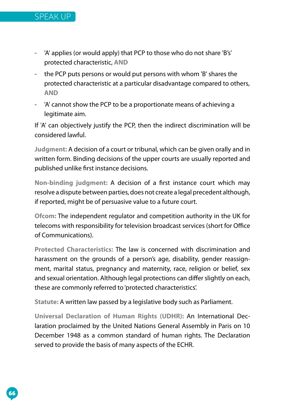

- 'A' applies (or would apply) that PCP to those who do not share 'B's' protected characteristic, **AND**
- the PCP puts persons or would put persons with whom 'B' shares the protected characteristic at a particular disadvantage compared to others, **AND**
- 'A' cannot show the PCP to be a proportionate means of achieving a legitimate aim.

If 'A' can objectively justify the PCP, then the indirect discrimination will be considered lawful.

**Judgment:** A decision of a court or tribunal, which can be given orally and in written form. Binding decisions of the upper courts are usually reported and published unlike first instance decisions.

**Non-binding judgment:** A decision of a first instance court which may resolve a dispute between parties, does not create a legal precedent although, if reported, might be of persuasive value to a future court.

**Ofcom:** The independent regulator and competition authority in the UK for telecoms with responsibility for television broadcast services (short for Office of Communications).

**Protected Characteristics:** The law is concerned with discrimination and harassment on the grounds of a person's age, disability, gender reassignment, marital status, pregnancy and maternity, race, religion or belief, sex and sexual orientation. Although legal protections can differ slightly on each, these are commonly referred to 'protected characteristics'.

**Statute:** A written law passed by a legislative body such as Parliament.

**Universal Declaration of Human Rights (UDHR):** An International Declaration proclaimed by the United Nations General Assembly in Paris on 10 December 1948 as a common standard of human rights. The Declaration served to provide the basis of many aspects of the ECHR.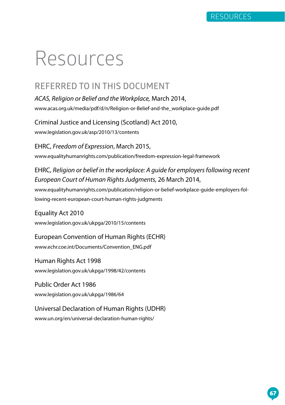## Resources

#### **REFERRED TO IN THIS DOCUMENT**

*ACAS, Religion or Belief and the Workplace,* March 2014, [www.acas.org.uk/media/pdf/d/n/Religion-or-Belief-and-the\\_workplace-guide.pdf](http://www.acas.org.uk/media/pdf/d/n/Religion-or-Belief-and-the_workplace-guide.pdf) 

Criminal Justice and Licensing (Scotland) Act 2010, [www.legislation.gov.uk/asp/2010/13/contents](http://www.legislation.gov.uk/asp/2010/13/contents 
) 

EHRC, *Freedom of Expression*, March 2015, [www.equalityhumanrights.com/publication/freedom-expression-legal-framework](http://www.equalityhumanrights.com/publication/freedom-expression-legal-framework 
) 

EHRC, *Religion or belief in the workplace: A guide for employers following recent European Court of Human Rights Judgments,* 26 March 2014, [www.equalityhumanrights.com/publication/religion-or-belief-workplace-guide-employers-fol](http://www.equalityhumanrights.com/publication/religion-or-belief-workplace-guide-employers-following-recent-european-court-human-rights-judgments)[lowing-recent-european-court-human-rights-judgments](http://www.equalityhumanrights.com/publication/religion-or-belief-workplace-guide-employers-following-recent-european-court-human-rights-judgments) 

Equality Act 2010 [www.legislation.gov.uk/ukpga/2010/15/contents](http://www.legislation.gov.uk/ukpga/2010/15/contents)

European Convention of Human Rights (ECHR) [www.echr.coe.int/Documents/Convention\\_ENG.pdf](http://www.echr.coe.int/Documents/Convention_ENG.pdf 
) 

Human Rights Act 1998 www.legislation.gov.uk/ukpga/1998/42/contents

Public Order Act 1986 [www.legislation.gov.uk/ukpga/1986/64](http://www.legislation.gov.uk/ukpga/1986/64 
) 

Universal Declaration of Human Rights (UDHR) [www.un.org/en/universal-declaration-human-rights/](http://www.un.org/en/universal-declaration-human-rights/ 
)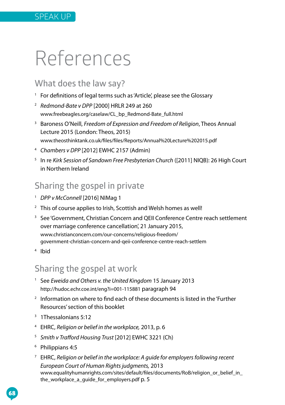## References

#### **What does the law say?**

- <sup>1</sup> For definitions of legal terms such as 'Article', please see the Glossary
- <sup>2</sup> *Redmond-Bate v DPP* [2000] HRLR 249 at 260 [www.freebeagles.org/caselaw/CL\\_bp\\_Redmond-Bate\\_full.html](http://www.freebeagles.org/caselaw/CL_bp_Redmond-Bate_full.html)
- <sup>3</sup> Baroness O'Neill, *Freedom of Expression and Freedom of Religion*, Theos Annual Lecture 2015 (London: Theos, 2015) [www.theosthinktank.co.uk/files/files/Reports/Annual%20Lecture%202015.pdf](http://www.theosthinktank.co.uk/files/files/Reports/Annual%20Lecture%202015.pdf)
- <sup>4</sup> *Chambers v DPP* [2012] EWHC 2157 (Admin)
- <sup>5</sup> In re *Kirk Session of Sandown Free Presbyterian Church* ([2011] NIQB): 26 High Court in Northern Ireland

## **Sharing the gospel in private**

- <sup>1</sup> *DPP v McConnell* [2016] NIMag 1
- <sup>2</sup> This of course applies to Irish, Scottish and Welsh homes as well!
- <sup>3</sup> See 'Government, Christian Concern and OEII Conference Centre reach settlement over marriage conference cancellation', 21 January 2015, [www.christianconcern.com/our-concerns/religious-freedom/](http://www.christianconcern.com/our-concerns/religious-freedom/government-christian-concern-and-qeii-conference-centre-reach-settlem) [government-christian-concern-and-qeii-conference-centre-reach-settlem](http://www.christianconcern.com/our-concerns/religious-freedom/government-christian-concern-and-qeii-conference-centre-reach-settlem)
- <sup>4</sup> Ibid

#### **Sharing the gospel at work**

- <sup>1</sup> See *Eweida and Others v. the United Kingdom* 15 January 2013 <http://hudoc.echr.coe.int/eng?i=001-115881> paragraph 94
- <sup>2</sup> Information on where to find each of these documents is listed in the 'Further Resources' section of this booklet
- <sup>3</sup> 1Thessalonians 5:12
- <sup>4</sup> EHRC, *Religion or belief in the workplace,* 2013, p. 6
- <sup>5</sup> *Smith v Trafford Housing Trust* [2012] EWHC 3221 (Ch)
- <sup>6</sup> Philippians 4:5
- <sup>7</sup> EHRC, *Religion or belief in the workplace: A guide for employers following recent European Court of Human Rights judgments,* 2013 [www.equalityhumanrights.com/sites/default/files/documents/RoB/religion\\_or\\_belief\\_in\\_](http://www.equalityhumanrights.com/sites/default/files/documents/RoB/religion_or_belief_in_the_workplace_a_guide_for_employers.pdf) [the\\_workplace\\_a\\_guide\\_for\\_employers.pdf](http://www.equalityhumanrights.com/sites/default/files/documents/RoB/religion_or_belief_in_the_workplace_a_guide_for_employers.pdf) p. 5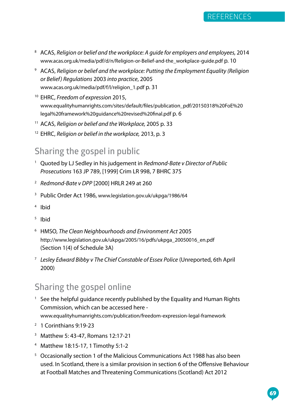

- <sup>8</sup> ACAS, *Religion or belief and the workplace: A guide for employers and employees,* 2014 [www.acas.org.uk/media/pdf/d/n/Religion-or-Belief-and-the\\_workplace-guide.pdf](http://www.acas.org.uk/media/pdf/d/n/Religion-or-Belief-and-the_workplace-guide.pd) p. 10
- 9 ACAS, *Religion or belief and the workplace: Putting the Employment Equality (Religion or Belief) Regulations* 2003 *into practice*, 2005 www.acas.org.uk/media/pdf/f/l/religion\_1.pdf p. 31
- <sup>10</sup> EHRC, *Freedom of expression* 2015, [www.equalityhumanrights.com/sites/default/files/publication\\_pdf/20150318%20FoE%20](http://www.equalityhumanrights.com/sites/default/files/publication_pdf/20150318%20FoE%20legal%20framework%20guidance%20revised%20final.pdf) [legal%20framework%20guidance%20revised%20final.pdf](http://www.equalityhumanrights.com/sites/default/files/publication_pdf/20150318%20FoE%20legal%20framework%20guidance%20revised%20final.pdf) p. 6
- <sup>11</sup> ACAS, *Religion or belief and the Workplace,* 2005 p. 33
- <sup>12</sup> EHRC, *Religion or belief in the workplace,* 2013, p. 3

#### **Sharing the gospel in public**

- <sup>1</sup> Quoted by LJ Sedley in his judgement in *Redmond-Bate v Director of Public Prosecutions* 163 JP 789, [1999] Crim LR 998, 7 BHRC 375
- <sup>2</sup> *Redmond-Bate v DPP* [2000] HRLR 249 at 260
- <sup>3</sup> Public Order Act 1986, [www.legislation.gov.uk/ukpga/1986/64](http://www.legislation.gov.uk/ukpga/1986/64)
- <sup>4</sup> Ibid
- 5 Ibid
- <sup>6</sup> HMSO, *The Clean Neighbourhoods and Environment Act* 2005 [http://www.legislation.gov.uk/ukpga/2005/16/pdfs/ukpga\\_20050016\\_en.pdf](http://www.legislation.gov.uk/ukpga/2005/16/pdfs/ukpga_20050016_en.pdf) (Section 1(4) of Schedule 3A)
- <sup>7</sup> *Lesley Edward Bibby v The Chief Constable of Essex Police* (Unreported, 6th April 2000)

### **Sharing the gospel online**

- <sup>1</sup> See the helpful quidance recently published by the Equality and Human Rights Commission, which can be accessed here [www.equalityhumanrights.com/publication/freedom-expression-legal-framework](http://www.equalityhumanrights.com/publication/freedom-expression-legal-framework)
- <sup>2</sup> 1 Corinthians 9:19-23
- <sup>3</sup> Matthew 5: 43-47, Romans 12:17-21
- <sup>4</sup> Matthew 18:15-17, 1 Timothy 5:1-2
- <sup>5</sup> Occasionally section 1 of the Malicious Communications Act 1988 has also been used. In Scotland, there is a similar provision in section 6 of the Offensive Behaviour at Football Matches and Threatening Communications (Scotland) Act 2012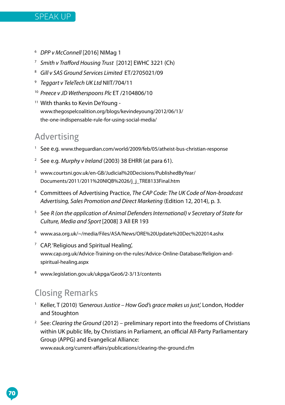

- <sup>6</sup> *DPP v McConnell* [2016] NIMag 1
- <sup>7</sup> *Smith v Trafford Housing Trust* [2012] EWHC 3221 (Ch)
- <sup>8</sup> *Gill v SAS Ground Services Limited* ET/2705021/09
- <sup>9</sup> *Teggart v TeleTech UK Ltd* NIIT/704/11
- <sup>10</sup> *Preece v JD Wetherspoons Plc* ET /2104806/10
- <sup>11</sup> With thanks to Kevin DeYoung [www.thegospelcoalition.org/blogs/kevindeyoung/2012/06/13/](http://www.thegospelcoalition.org/blogs/kevindeyoung/2012/06/13/the-one-indispensable-rule-for-using-social-media/) [the-one-indispensable-rule-for-using-social-media/](http://www.thegospelcoalition.org/blogs/kevindeyoung/2012/06/13/the-one-indispensable-rule-for-using-social-media/)

#### **Advertising**

- <sup>1</sup> See e.g. [www.theguardian.com/world/2009/feb/05/atheist-bus-christian-response](http://www.theguardian.com/world/2009/feb/05/atheist-bus-christian-response)
- <sup>2</sup> See e.g. *Murphy v Ireland* (2003) 38 EHRR (at para 61).
- <sup>3</sup> [www.courtsni.gov.uk/en-GB/Judicial%20Decisions/PublishedByYear/](http://www.courtsni.gov.uk/en-GB/Judicial%20Decisions/PublishedByYear/Documents/2011/2011%20NIQB%2026/j_j_TRE8133Final.htm) [Documents/2011/2011%20NIQB%2026/j\\_j\\_TRE8133Final.htm](http://www.courtsni.gov.uk/en-GB/Judicial%20Decisions/PublishedByYear/Documents/2011/2011%20NIQB%2026/j_j_TRE8133Final.htm)
- <sup>4</sup> Committees of Advertising Practice, *The CAP Code: The UK Code of Non-broadcast Advertising, Sales Promotion and Direct Marketing* (Edition 12, 2014), p. 3.
- <sup>5</sup> See *R (on the application of Animal Defenders International) v Secretary of State for Culture, Media and Sport* [2008] 3 All ER 193
- <sup>6</sup> [www.asa.org.uk/~/media/Files/ASA/News/ORE%20Update%20Dec%202014.ashx](http://www.legislation.gov.uk/asp/2010/13/contents 
)
- <sup>7</sup> CAP, 'Religious and Spiritual Healing', [www.cap.org.uk/Advice-Training-on-the-rules/Advice-Online-Database/Religion-and](http://www.cap.org.uk/Advice-Training-on-the-rules/Advice-Online-Database/Religion-and-spiritual-healing.aspx)[spiritual-healing.aspx](http://www.cap.org.uk/Advice-Training-on-the-rules/Advice-Online-Database/Religion-and-spiritual-healing.aspx)
- <sup>8</sup> [www.legislation.gov.uk/ukpga/Geo6/2-3/13/contents](http://www.legislation.gov.uk/ukpga/Geo6/2-3/13/contents)

#### **Closing Remarks**

- 1 Keller, T (2010) *'Generous Justice How God's grace makes us just',* London, Hodder and Stoughton
- <sup>2</sup> See: *Clearing the Ground* (2012) *–* preliminary report into the freedoms of Christians within UK public life, by Christians in Parliament, an official All-Party Parliamentary Group (APPG) and Evangelical Alliance:

www.eauk.org/current-affairs/publications/clearing-the-ground.cfm